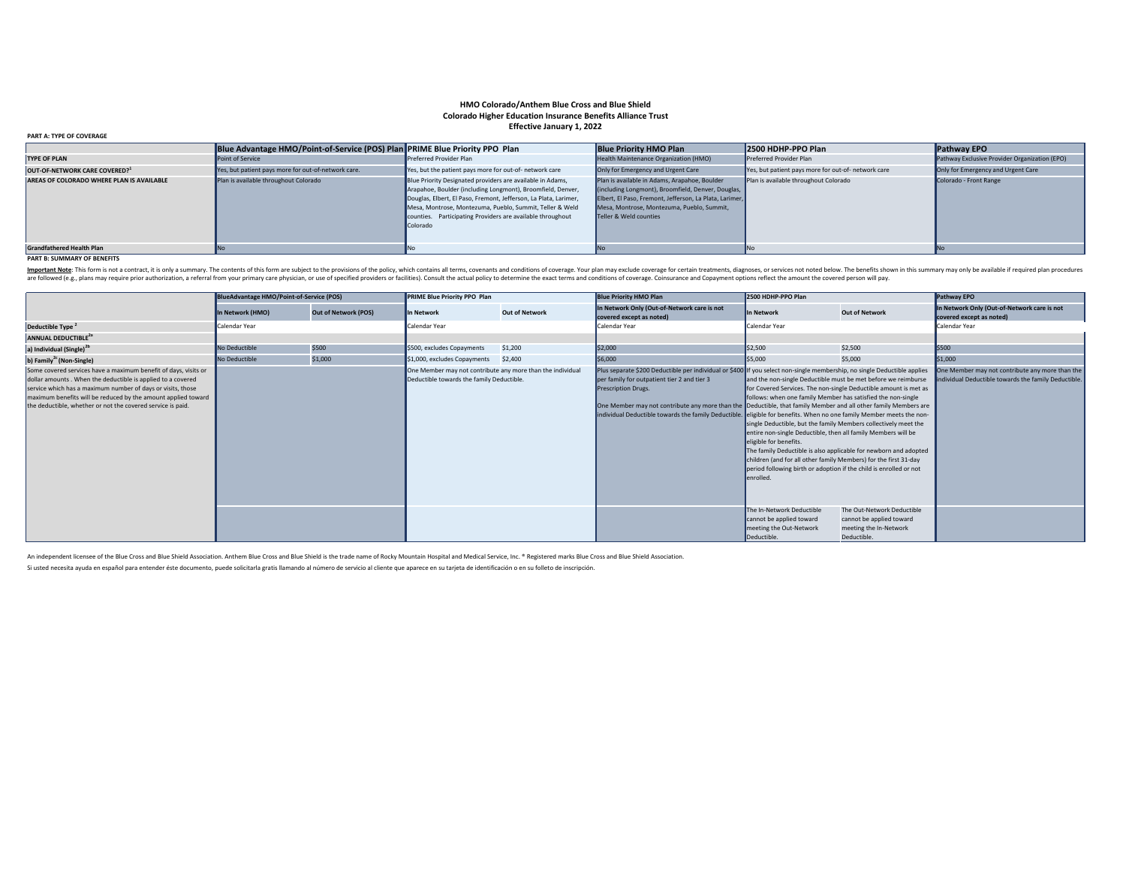# **HMO Colorado/Anthem Blue Cross and Blue Shield Colorado Higher Education Insurance Benefits Alliance Trust Effective January 1, 2022**

| <b>PART A: TYPE OF COVERAGE</b>           |                                                                             |                                                                                                                                                                                                                                                                                                                                     |                                                                                                                                                                                                                                        |                                                     |                                               |
|-------------------------------------------|-----------------------------------------------------------------------------|-------------------------------------------------------------------------------------------------------------------------------------------------------------------------------------------------------------------------------------------------------------------------------------------------------------------------------------|----------------------------------------------------------------------------------------------------------------------------------------------------------------------------------------------------------------------------------------|-----------------------------------------------------|-----------------------------------------------|
|                                           | Blue Advantage HMO/Point-of-Service (POS) Plan PRIME Blue Priority PPO Plan |                                                                                                                                                                                                                                                                                                                                     | <b>Blue Priority HMO Plan</b>                                                                                                                                                                                                          | 2500 HDHP-PPO Plan                                  | <b>Pathway EPO</b>                            |
| <b>TYPE OF PLAN</b>                       | Point of Service                                                            | Preferred Provider Plan                                                                                                                                                                                                                                                                                                             | Health Maintenance Organization (HMO)                                                                                                                                                                                                  | <b>Preferred Provider Plan</b>                      | Pathway Exclusive Provider Organization (EPO) |
| OUT-OF-NETWORK CARE COVERED?              | Yes, but patient pays more for out-of-network care.                         | Yes, but the patient pays more for out-of- network care                                                                                                                                                                                                                                                                             | Only for Emergency and Urgent Care                                                                                                                                                                                                     | Yes, but patient pays more for out-of- network care | Only for Emergency and Urgent Care            |
| AREAS OF COLORADO WHERE PLAN IS AVAILABLE | Plan is available throughout Colorado                                       | Blue Priority Designated providers are available in Adams,<br>Arapahoe, Boulder (including Longmont), Broomfield, Denver,<br>Douglas, Elbert, El Paso, Fremont, Jefferson, La Plata, Larimer,<br>Mesa, Montrose, Montezuma, Pueblo, Summit, Teller & Weld<br>counties. Participating Providers are available throughout<br>Colorado | Plan is available in Adams, Arapahoe, Boulder<br>(including Longmont), Broomfield, Denver, Douglas,<br>Elbert, El Paso, Fremont, Jefferson, La Plata, Larimer,<br>Mesa, Montrose, Montezuma, Pueblo, Summit,<br>Teller & Weld counties | Plan is available throughout Colorado               | Colorado - Front Range                        |
| <b>Grandfathered Health Plan</b>          |                                                                             |                                                                                                                                                                                                                                                                                                                                     |                                                                                                                                                                                                                                        |                                                     |                                               |

#### **PART B: SUMMARY OF BENEFITS**

Important Note: This form is not a contract, it is only a summary. The contents of this form are subject to the provisions of the policy, which contains all terms, covenants and conditions of coverage. Your plan may exclud are followed (e.g., plans may require prior authorization, a referral from your primary care physician, or use of specified providers or facilities). Consult the actual policy to determine the exact terms and conditions of

|                                                                                                                                                                                                                                                                                                                               | <b>BlueAdvantage HMO/Point-of-Service (POS)</b> |                             | PRIME Blue Priority PPO Plan                                                                            |                       | <b>Blue Priority HMO Plan</b>                                                                                                                                                                                                                                                                                                                                                                                                             | 2500 HDHP-PPO Plan                                                                                                                                                                                                                                                                                                                                                                                                                                                                            |                                                                                                                                                                                                                                                                                                          | Pathway EPO                                                                                             |
|-------------------------------------------------------------------------------------------------------------------------------------------------------------------------------------------------------------------------------------------------------------------------------------------------------------------------------|-------------------------------------------------|-----------------------------|---------------------------------------------------------------------------------------------------------|-----------------------|-------------------------------------------------------------------------------------------------------------------------------------------------------------------------------------------------------------------------------------------------------------------------------------------------------------------------------------------------------------------------------------------------------------------------------------------|-----------------------------------------------------------------------------------------------------------------------------------------------------------------------------------------------------------------------------------------------------------------------------------------------------------------------------------------------------------------------------------------------------------------------------------------------------------------------------------------------|----------------------------------------------------------------------------------------------------------------------------------------------------------------------------------------------------------------------------------------------------------------------------------------------------------|---------------------------------------------------------------------------------------------------------|
|                                                                                                                                                                                                                                                                                                                               | In Network (HMO)                                | <b>Out of Network (POS)</b> | In Network                                                                                              | <b>Out of Network</b> | In Network Only (Out-of-Network care is not<br>covered except as noted)                                                                                                                                                                                                                                                                                                                                                                   | In Network                                                                                                                                                                                                                                                                                                                                                                                                                                                                                    | <b>Out of Network</b>                                                                                                                                                                                                                                                                                    | In Network Only (Out-of-Network care is not<br>covered except as noted)                                 |
| Deductible Type <sup>2</sup>                                                                                                                                                                                                                                                                                                  | Calendar Year                                   |                             | Calendar Year                                                                                           |                       | Calendar Year                                                                                                                                                                                                                                                                                                                                                                                                                             | Calendar Year                                                                                                                                                                                                                                                                                                                                                                                                                                                                                 |                                                                                                                                                                                                                                                                                                          | Calendar Year                                                                                           |
| ANNUAL DEDUCTIBLE <sup>2a</sup>                                                                                                                                                                                                                                                                                               |                                                 |                             |                                                                                                         |                       |                                                                                                                                                                                                                                                                                                                                                                                                                                           |                                                                                                                                                                                                                                                                                                                                                                                                                                                                                               |                                                                                                                                                                                                                                                                                                          |                                                                                                         |
| a) Individual (Single) <sup>2b</sup>                                                                                                                                                                                                                                                                                          | No Deductible                                   | \$500                       | \$500, excludes Copayments                                                                              | \$1,200               | \$2,000                                                                                                                                                                                                                                                                                                                                                                                                                                   | \$2,500                                                                                                                                                                                                                                                                                                                                                                                                                                                                                       | \$2,500                                                                                                                                                                                                                                                                                                  | \$500                                                                                                   |
| b) Family <sup>2c</sup> (Non-Single)                                                                                                                                                                                                                                                                                          | No Deductible                                   | \$1,000                     | \$1,000, excludes Copayments                                                                            | \$2,400               | \$6,000                                                                                                                                                                                                                                                                                                                                                                                                                                   | \$5,000                                                                                                                                                                                                                                                                                                                                                                                                                                                                                       | \$5,000                                                                                                                                                                                                                                                                                                  | \$1,000                                                                                                 |
| Some covered services have a maximum benefit of days, visits or<br>dollar amounts. When the deductible is applied to a covered<br>service which has a maximum number of days or visits, those<br>maximum benefits will be reduced by the amount applied toward<br>the deductible, whether or not the covered service is paid. |                                                 |                             | One Member may not contribute any more than the individual<br>Deductible towards the family Deductible. |                       | Plus separate \$200 Deductible per individual or \$400 If you select non-single membership, no single Deductible applies<br>per family for outpatient tier 2 and tier 3<br>Prescription Drugs.<br>One Member may not contribute any more than the Deductible, that family Member and all other family Members are<br>individual Deductible towards the family Deductible. eligible for benefits. When no one family Member meets the non- | <b>Ifollows:</b> when one family Member has satisfied the non-single<br>single Deductible, but the family Members collectively meet the<br>entire non-single Deductible, then all family Members will be<br>eligible for benefits.<br>children (and for all other family Members) for the first 31-day<br>period following birth or adoption if the child is enrolled or not<br>lenrolled.<br>The In-Network Deductible<br>cannot be applied toward<br>meeting the Out-Network<br>Deductible. | and the non-single Deductible must be met before we reimburse<br>for Covered Services. The non-single Deductible amount is met as<br>The family Deductible is also applicable for newborn and adopted<br>The Out-Network Deductible<br>cannot be applied toward<br>meeting the In-Network<br>Deductible. | One Member may not contribute any more than the<br>individual Deductible towards the family Deductible. |

An independent licensee of the Blue Cross and Blue Shield Association. Anthem Blue Cross and Blue Shield is the trade name of Rocky Mountain Hospital and Medical Service, Inc. ® Registered marks Blue Cross and Blue Shield

Si usted necesita ayuda en español para entender éste documento, puede solicitarla gratis llamando al número de servicio al cliente que aparece en su tarjeta de identificación <sup>o</sup> en su folleto de inscripción.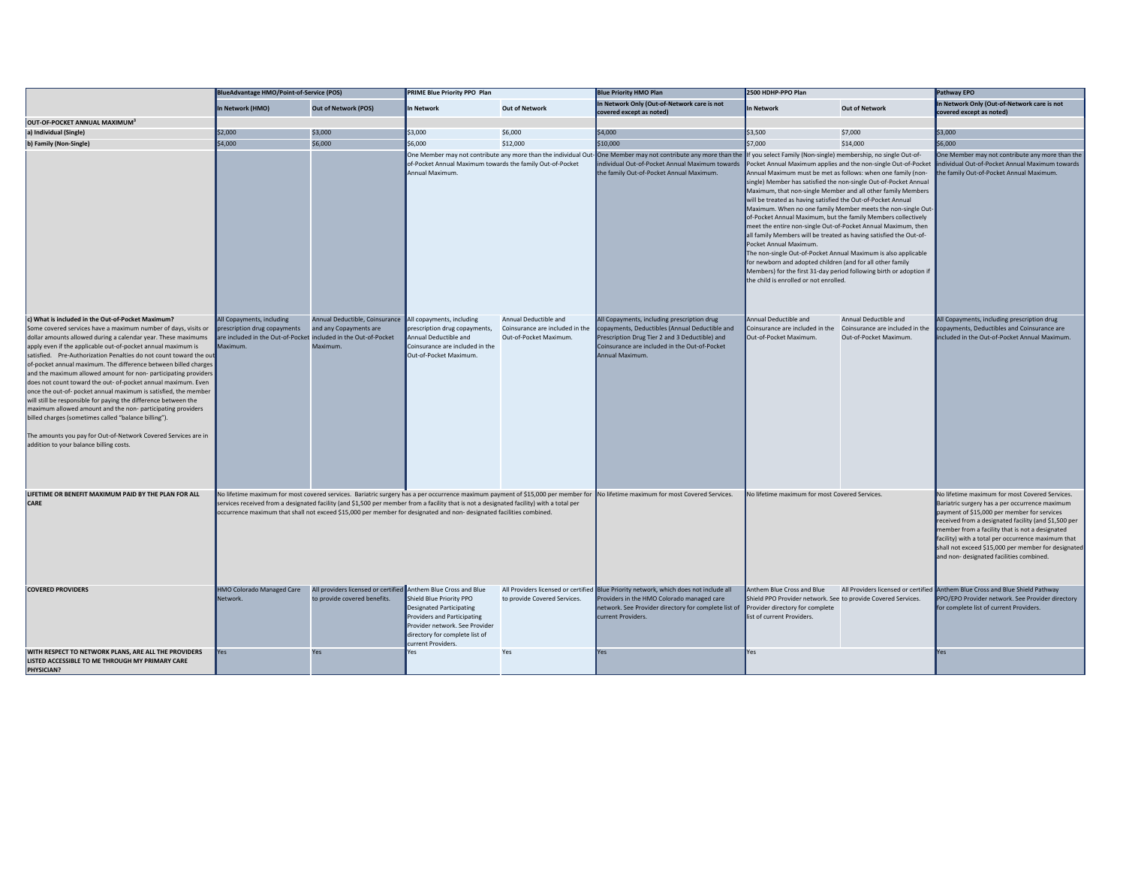|                                                                                                                                                                                                                                                                                                                                                                                                                                                                                                                                                                                                                                                                                                                                                                                                                                                                                                           |                                                                                                            | <b>BlueAdvantage HMO/Point-of-Service (POS)</b><br>PRIME Blue Priority PPO Plan                                                 |                                                                                                                                                                                                                                                                 |                                                                                    | <b>Blue Priority HMO Plan</b>                                                                                                                                                                                                                                                 | 2500 HDHP-PPO Plan                                                                                                                                                                                                                                                                                                                                                                                                                                                                                                                                                                                                                                                                                                                                                                                                    |                                                                                    | Pathway EPO                                                                                                                                                                                                                                                                                                                                                                                                         |
|-----------------------------------------------------------------------------------------------------------------------------------------------------------------------------------------------------------------------------------------------------------------------------------------------------------------------------------------------------------------------------------------------------------------------------------------------------------------------------------------------------------------------------------------------------------------------------------------------------------------------------------------------------------------------------------------------------------------------------------------------------------------------------------------------------------------------------------------------------------------------------------------------------------|------------------------------------------------------------------------------------------------------------|---------------------------------------------------------------------------------------------------------------------------------|-----------------------------------------------------------------------------------------------------------------------------------------------------------------------------------------------------------------------------------------------------------------|------------------------------------------------------------------------------------|-------------------------------------------------------------------------------------------------------------------------------------------------------------------------------------------------------------------------------------------------------------------------------|-----------------------------------------------------------------------------------------------------------------------------------------------------------------------------------------------------------------------------------------------------------------------------------------------------------------------------------------------------------------------------------------------------------------------------------------------------------------------------------------------------------------------------------------------------------------------------------------------------------------------------------------------------------------------------------------------------------------------------------------------------------------------------------------------------------------------|------------------------------------------------------------------------------------|---------------------------------------------------------------------------------------------------------------------------------------------------------------------------------------------------------------------------------------------------------------------------------------------------------------------------------------------------------------------------------------------------------------------|
|                                                                                                                                                                                                                                                                                                                                                                                                                                                                                                                                                                                                                                                                                                                                                                                                                                                                                                           | In Network (HMO)                                                                                           | <b>Out of Network (POS)</b>                                                                                                     | In Network                                                                                                                                                                                                                                                      | <b>Out of Network</b>                                                              | In Network Only (Out-of-Network care is not                                                                                                                                                                                                                                   | <b>In Network</b>                                                                                                                                                                                                                                                                                                                                                                                                                                                                                                                                                                                                                                                                                                                                                                                                     | <b>Out of Network</b>                                                              | In Network Only (Out-of-Network care is not                                                                                                                                                                                                                                                                                                                                                                         |
|                                                                                                                                                                                                                                                                                                                                                                                                                                                                                                                                                                                                                                                                                                                                                                                                                                                                                                           |                                                                                                            |                                                                                                                                 |                                                                                                                                                                                                                                                                 |                                                                                    | covered except as noted)                                                                                                                                                                                                                                                      |                                                                                                                                                                                                                                                                                                                                                                                                                                                                                                                                                                                                                                                                                                                                                                                                                       |                                                                                    | covered except as noted)                                                                                                                                                                                                                                                                                                                                                                                            |
| OUT-OF-POCKET ANNUAL MAXIMUM <sup>3</sup>                                                                                                                                                                                                                                                                                                                                                                                                                                                                                                                                                                                                                                                                                                                                                                                                                                                                 |                                                                                                            |                                                                                                                                 |                                                                                                                                                                                                                                                                 |                                                                                    |                                                                                                                                                                                                                                                                               |                                                                                                                                                                                                                                                                                                                                                                                                                                                                                                                                                                                                                                                                                                                                                                                                                       |                                                                                    |                                                                                                                                                                                                                                                                                                                                                                                                                     |
| a) Individual (Single)                                                                                                                                                                                                                                                                                                                                                                                                                                                                                                                                                                                                                                                                                                                                                                                                                                                                                    | \$2,000                                                                                                    | \$3,000                                                                                                                         | \$3,000                                                                                                                                                                                                                                                         | \$6,000                                                                            | \$4,000                                                                                                                                                                                                                                                                       | \$3,500                                                                                                                                                                                                                                                                                                                                                                                                                                                                                                                                                                                                                                                                                                                                                                                                               | \$7,000                                                                            | \$3,000                                                                                                                                                                                                                                                                                                                                                                                                             |
| b) Family (Non-Single)                                                                                                                                                                                                                                                                                                                                                                                                                                                                                                                                                                                                                                                                                                                                                                                                                                                                                    | \$4,000                                                                                                    | \$6,000                                                                                                                         | \$6,000                                                                                                                                                                                                                                                         | \$12,000                                                                           | \$10,000                                                                                                                                                                                                                                                                      | \$7,000                                                                                                                                                                                                                                                                                                                                                                                                                                                                                                                                                                                                                                                                                                                                                                                                               | \$14,000                                                                           | \$6,000                                                                                                                                                                                                                                                                                                                                                                                                             |
|                                                                                                                                                                                                                                                                                                                                                                                                                                                                                                                                                                                                                                                                                                                                                                                                                                                                                                           |                                                                                                            |                                                                                                                                 | of-Pocket Annual Maximum towards the family Out-of-Pocket<br>Annual Maximum.                                                                                                                                                                                    |                                                                                    | One Member may not contribute any more than the individual Out-One Member may not contribute any more than the If you select Family (Non-single) membership, no single Out-of-<br>individual Out-of-Pocket Annual Maximum towards<br>the family Out-of-Pocket Annual Maximum. | Pocket Annual Maximum applies and the non-single Out-of-Pocket<br>Annual Maximum must be met as follows: when one family (non-<br>single) Member has satisfied the non-single Out-of-Pocket Annual<br>Maximum, that non-single Member and all other family Members<br>will be treated as having satisfied the Out-of-Pocket Annual<br>of-Pocket Annual Maximum, but the family Members collectively<br>meet the entire non-single Out-of-Pocket Annual Maximum, then<br>all family Members will be treated as having satisfied the Out-of-<br>Pocket Annual Maximum.<br>The non-single Out-of-Pocket Annual Maximum is also applicable<br>for newborn and adopted children (and for all other family<br>Members) for the first 31-day period following birth or adoption if<br>the child is enrolled or not enrolled. | Maximum. When no one family Member meets the non-single Out-                       | ne Member may not contribute any more than the<br>individual Out-of-Pocket Annual Maximum towards<br>he family Out-of-Pocket Annual Maximum.                                                                                                                                                                                                                                                                        |
| c) What is included in the Out-of-Pocket Maximum?<br>Some covered services have a maximum number of days, visits or<br>dollar amounts allowed during a calendar year. These maximums<br>apply even if the applicable out-of-pocket annual maximum is<br>satisfied. Pre-Authorization Penalties do not count toward the out<br>of-pocket annual maximum. The difference between billed charges<br>and the maximum allowed amount for non-participating providers<br>does not count toward the out- of-pocket annual maximum. Even<br>once the out-of- pocket annual maximum is satisfied, the member<br>will still be responsible for paying the difference between the<br>maximum allowed amount and the non-participating providers<br>billed charges (sometimes called "balance billing").<br>The amounts you pay for Out-of-Network Covered Services are in<br>addition to your balance billing costs. | All Copayments, including<br>prescription drug copayments<br>are included in the Out-of-Pocket<br>Maximum. | Annual Deductible, Coinsurance All copayments, including<br>and any Copayments are<br>included in the Out-of-Pocket<br>Maximum. | prescription drug copayments,<br>Annual Deductible and<br>Coinsurance are included in the<br>Out-of-Pocket Maximum.                                                                                                                                             | Annual Deductible and<br>Coinsurance are included in the<br>Out-of-Pocket Maximum. | All Copayments, including prescription drug<br>copayments, Deductibles (Annual Deductible and<br>Prescription Drug Tier 2 and 3 Deductible) and<br>Coinsurance are included in the Out-of-Pocket<br>Annual Maximum.                                                           | Annual Deductible and<br>Coinsurance are included in the<br>Out-of-Pocket Maximum.                                                                                                                                                                                                                                                                                                                                                                                                                                                                                                                                                                                                                                                                                                                                    | Annual Deductible and<br>Coinsurance are included in the<br>Out-of-Pocket Maximum. | All Copayments, including prescription drug<br>copayments, Deductibles and Coinsurance are<br>ncluded in the Out-of-Pocket Annual Maximum.                                                                                                                                                                                                                                                                          |
| LIFETIME OR BENEFIT MAXIMUM PAID BY THE PLAN FOR ALL<br><b>CARE</b>                                                                                                                                                                                                                                                                                                                                                                                                                                                                                                                                                                                                                                                                                                                                                                                                                                       |                                                                                                            |                                                                                                                                 | services received from a designated facility (and \$1,500 per member from a facility that is not a designated facility) with a total per<br>occurrence maximum that shall not exceed \$15,000 per member for designated and non-designated facilities combined. |                                                                                    | No lifetime maximum for most covered services. Bariatric surgery has a per occurrence maximum payment of \$15,000 per member for  No lifetime maximum for most Covered Services.                                                                                              | No lifetime maximum for most Covered Services.                                                                                                                                                                                                                                                                                                                                                                                                                                                                                                                                                                                                                                                                                                                                                                        |                                                                                    | No lifetime maximum for most Covered Services.<br>Bariatric surgery has a per occurrence maximum<br>payment of \$15,000 per member for services<br>received from a designated facility (and \$1,500 per<br>member from a facility that is not a designated<br>facility) with a total per occurrence maximum that<br>shall not exceed \$15,000 per member for designated<br>and non- designated facilities combined. |
| <b>COVERED PROVIDERS</b>                                                                                                                                                                                                                                                                                                                                                                                                                                                                                                                                                                                                                                                                                                                                                                                                                                                                                  | <b>HMO Colorado Managed Care</b><br>Network.                                                               | All providers licensed or certified Anthem Blue Cross and Blue<br>to provide covered benefits.                                  | Shield Blue Priority PPO<br><b>Designated Participating</b><br>Providers and Participating<br>Provider network. See Provider<br>directory for complete list of<br>current Providers.                                                                            | to provide Covered Services.                                                       | All Providers licensed or certified Blue Priority network, which does not include all<br>Providers in the HMO Colorado managed care<br>network. See Provider directory for complete list of<br>current Providers.                                                             | Anthem Blue Cross and Blue<br>Shield PPO Provider network. See to provide Covered Services.<br>Provider directory for complete<br>list of current Providers.                                                                                                                                                                                                                                                                                                                                                                                                                                                                                                                                                                                                                                                          |                                                                                    | All Providers licensed or certified Anthem Blue Cross and Blue Shield Pathway<br>PPO/EPO Provider network. See Provider directory<br>for complete list of current Providers.                                                                                                                                                                                                                                        |
| WITH RESPECT TO NETWORK PLANS, ARE ALL THE PROVIDERS<br>LISTED ACCESSIBLE TO ME THROUGH MY PRIMARY CARE<br>PHYSICIAN?                                                                                                                                                                                                                                                                                                                                                                                                                                                                                                                                                                                                                                                                                                                                                                                     | <b>Yes</b>                                                                                                 | Yes                                                                                                                             | Yes                                                                                                                                                                                                                                                             | Yes                                                                                | Yes                                                                                                                                                                                                                                                                           | Yes                                                                                                                                                                                                                                                                                                                                                                                                                                                                                                                                                                                                                                                                                                                                                                                                                   |                                                                                    | Yes                                                                                                                                                                                                                                                                                                                                                                                                                 |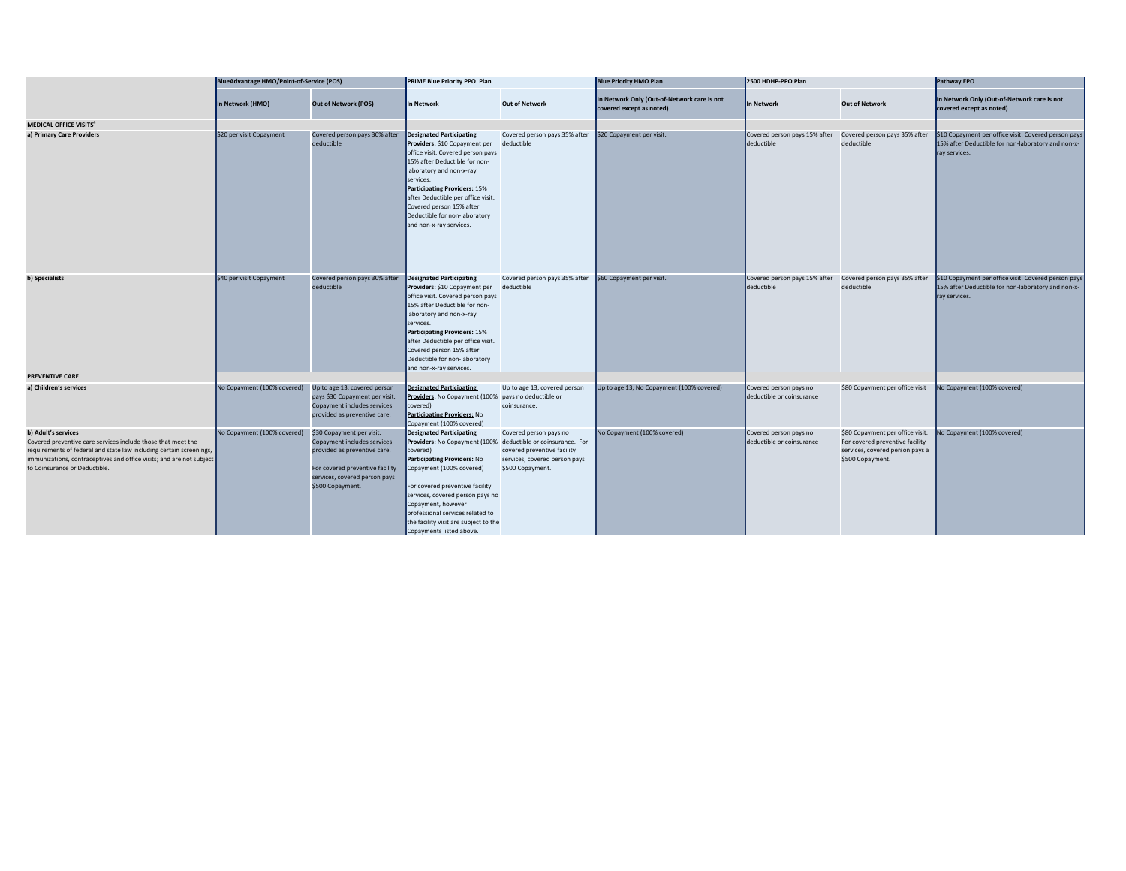|                                                                                                                                                                                                                                                                     | <b>BlueAdvantage HMO/Point-of-Service (POS)</b> |                                                                                                                                                                                  | <b>PRIME Blue Priority PPO Plan</b>                                                                                                                                                                                                                                                                                                                                                 |                                                                                                            | <b>Blue Priority HMO Plan</b>                                           | 2500 HDHP-PPO Plan                                  |                                                                                                                            | Pathway EPO                                                                                                                 |
|---------------------------------------------------------------------------------------------------------------------------------------------------------------------------------------------------------------------------------------------------------------------|-------------------------------------------------|----------------------------------------------------------------------------------------------------------------------------------------------------------------------------------|-------------------------------------------------------------------------------------------------------------------------------------------------------------------------------------------------------------------------------------------------------------------------------------------------------------------------------------------------------------------------------------|------------------------------------------------------------------------------------------------------------|-------------------------------------------------------------------------|-----------------------------------------------------|----------------------------------------------------------------------------------------------------------------------------|-----------------------------------------------------------------------------------------------------------------------------|
|                                                                                                                                                                                                                                                                     | In Network (HMO)                                | <b>Out of Network (POS)</b>                                                                                                                                                      | In Network                                                                                                                                                                                                                                                                                                                                                                          | <b>Out of Network</b>                                                                                      | In Network Only (Out-of-Network care is not<br>covered except as noted) | In Network                                          | <b>Out of Network</b>                                                                                                      | In Network Only (Out-of-Network care is not<br>covered except as noted)                                                     |
| MEDICAL OFFICE VISITS <sup>4</sup>                                                                                                                                                                                                                                  |                                                 |                                                                                                                                                                                  |                                                                                                                                                                                                                                                                                                                                                                                     |                                                                                                            |                                                                         |                                                     |                                                                                                                            |                                                                                                                             |
| a) Primary Care Providers                                                                                                                                                                                                                                           | \$20 per visit Copayment                        | Covered person pays 30% after<br>deductible                                                                                                                                      | Designated Participating<br>Providers: \$10 Copayment per<br>office visit. Covered person pays<br>15% after Deductible for non-<br>laboratory and non-x-ray<br>services.<br>Participating Providers: 15%<br>after Deductible per office visit.<br>Covered person 15% after<br>Deductible for non-laboratory<br>and non-x-ray services.                                              | Covered person pays 35% after<br>deductible                                                                | \$20 Copayment per visit.                                               | Covered person pays 15% after<br>deductible         | Covered person pays 35% after<br>deductible                                                                                | \$10 Copayment per office visit. Covered person pays<br>15% after Deductible for non-laboratory and non-x-<br>ray services. |
| b) Specialists                                                                                                                                                                                                                                                      | \$40 per visit Copayment                        | Covered person pays 30% after<br>deductible                                                                                                                                      | Designated Participating<br>Providers: \$10 Copayment per<br>office visit. Covered person pays<br>15% after Deductible for non-<br>laboratory and non-x-ray<br>services.<br>Participating Providers: 15%<br>after Deductible per office visit.<br>Covered person 15% after<br>Deductible for non-laboratory<br>and non-x-ray services.                                              | Covered person pays 35% after<br>deductible                                                                | \$60 Copayment per visit.                                               | Covered person pays 15% after<br>deductible         | Covered person pays 35% after<br>deductible                                                                                | \$10 Copayment per office visit. Covered person pays<br>15% after Deductible for non-laboratory and non-x-<br>ray services. |
| <b>PREVENTIVE CARE</b>                                                                                                                                                                                                                                              |                                                 |                                                                                                                                                                                  |                                                                                                                                                                                                                                                                                                                                                                                     |                                                                                                            |                                                                         |                                                     |                                                                                                                            |                                                                                                                             |
| a) Children's services                                                                                                                                                                                                                                              | No Copayment (100% covered)                     | Up to age 13, covered person<br>pays \$30 Copayment per visit.<br>Copayment includes services<br>provided as preventive care.                                                    | <b>Designated Participating</b><br>Providers: No Copayment (100% pays no deductible or<br>covered)<br>Participating Providers: No<br>Copayment (100% covered)                                                                                                                                                                                                                       | Up to age 13, covered person<br>coinsurance.                                                               | Up to age 13, No Copayment (100% covered)                               | Covered person pays no<br>deductible or coinsurance | \$80 Copayment per office visit                                                                                            | No Copayment (100% covered)                                                                                                 |
| b) Adult's services<br>Covered preventive care services include those that meet the<br>requirements of federal and state law including certain screenings,<br>immunizations, contraceptives and office visits; and are not subject<br>to Coinsurance or Deductible. | No Copayment (100% covered)                     | \$30 Copayment per visit.<br>Copayment includes services<br>provided as preventive care.<br>For covered preventive facility<br>services, covered person pays<br>\$500 Copayment. | <b>Designated Participating</b><br>Providers: No Copayment (100% deductible or coinsurance. For<br>covered)<br><b>Participating Providers: No</b><br>Copayment (100% covered)<br>For covered preventive facility<br>services, covered person pays no<br>Copayment, however<br>professional services related to<br>the facility visit are subject to the<br>Copayments listed above. | Covered person pays no<br>covered preventive facility<br>services, covered person pays<br>\$500 Copayment. | No Copayment (100% covered)                                             | Covered person pays no<br>deductible or coinsurance | \$80 Copayment per office visit.<br>For covered preventive facility<br>services, covered person pays a<br>\$500 Copayment. | Vo Copayment (100% covered)                                                                                                 |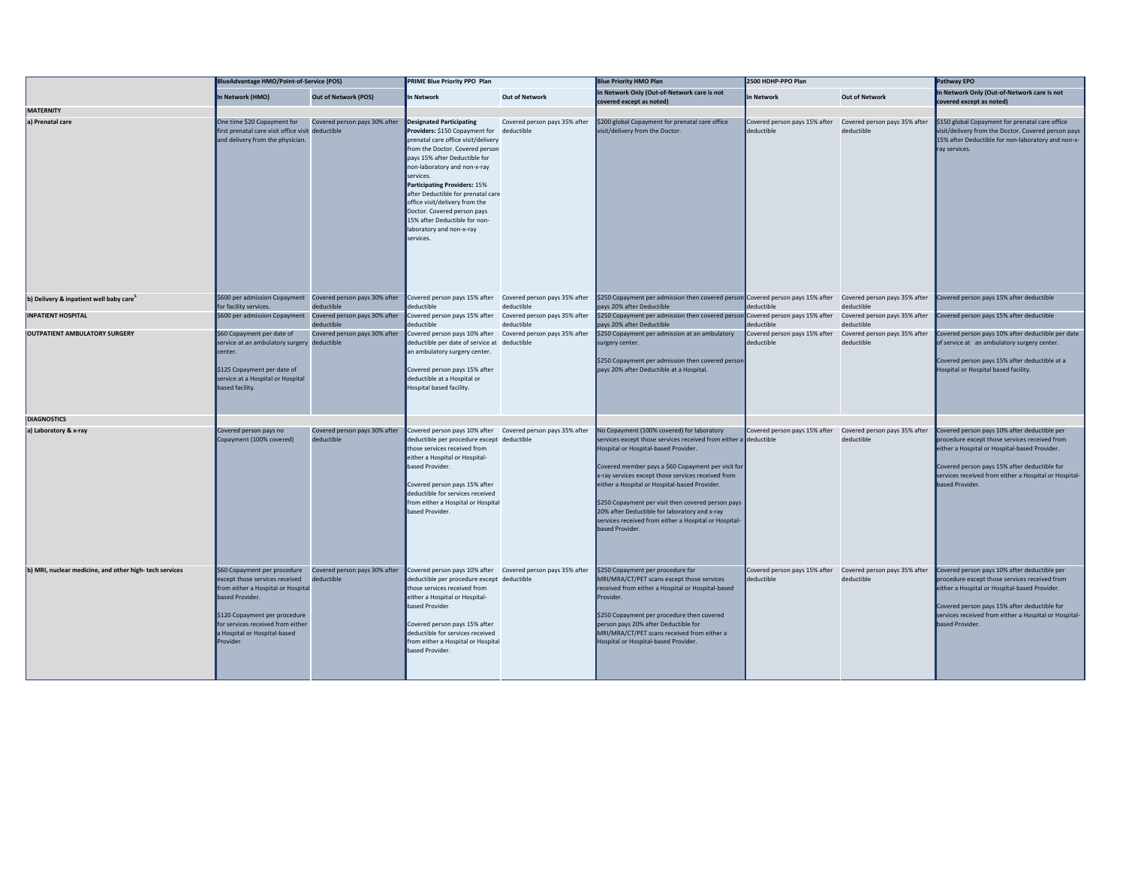|                                                        | <b>BlueAdvantage HMO/Point-of-Service (POS)</b>                                                                                                                                                                                            |                                             | <b>PRIME Blue Priority PPO Plan</b>                                                                                                                                                                                                                                                                                                                                                                                                 |                                             | <b>Blue Priority HMO Plan</b>                                                                                                                                                                                                                                                                                                                                                                                                                                                                          | 2500 HDHP-PPO Plan                                                        |                                             | Pathway EPO                                                                                                                                                                                                                                                                |
|--------------------------------------------------------|--------------------------------------------------------------------------------------------------------------------------------------------------------------------------------------------------------------------------------------------|---------------------------------------------|-------------------------------------------------------------------------------------------------------------------------------------------------------------------------------------------------------------------------------------------------------------------------------------------------------------------------------------------------------------------------------------------------------------------------------------|---------------------------------------------|--------------------------------------------------------------------------------------------------------------------------------------------------------------------------------------------------------------------------------------------------------------------------------------------------------------------------------------------------------------------------------------------------------------------------------------------------------------------------------------------------------|---------------------------------------------------------------------------|---------------------------------------------|----------------------------------------------------------------------------------------------------------------------------------------------------------------------------------------------------------------------------------------------------------------------------|
|                                                        | In Network (HMO)                                                                                                                                                                                                                           | <b>Out of Network (POS)</b>                 | In Network                                                                                                                                                                                                                                                                                                                                                                                                                          | <b>Out of Network</b>                       | In Network Only (Out-of-Network care is not<br>covered except as noted)                                                                                                                                                                                                                                                                                                                                                                                                                                | In Network                                                                | <b>Out of Network</b>                       | In Network Only (Out-of-Network care is not<br>covered except as noted)                                                                                                                                                                                                    |
| <b>MATERNITY</b>                                       |                                                                                                                                                                                                                                            |                                             |                                                                                                                                                                                                                                                                                                                                                                                                                                     |                                             |                                                                                                                                                                                                                                                                                                                                                                                                                                                                                                        |                                                                           |                                             |                                                                                                                                                                                                                                                                            |
| a) Prenatal care                                       | One time \$20 Copayment for<br>first prenatal care visit office visit deductible<br>and delivery from the physician.                                                                                                                       | Covered person pays 30% after               | Designated Participating<br>Providers: \$150 Copayment for<br>prenatal care office visit/delivery<br>from the Doctor. Covered person<br>pays 15% after Deductible for<br>non-laboratory and non-x-ray<br>services.<br>Participating Providers: 15%<br>after Deductible for prenatal care<br>office visit/delivery from the<br>Doctor. Covered person pays<br>15% after Deductible for non-<br>laboratory and non-x-ray<br>services. | Covered person pays 35% after<br>deductible | \$200 global Copayment for prenatal care office<br>visit/delivery from the Doctor.                                                                                                                                                                                                                                                                                                                                                                                                                     | Covered person pays 15% after<br>deductible                               | Covered person pays 35% after<br>deductible | \$150 global Copayment for prenatal care office<br>visit/delivery from the Doctor. Covered person pays<br>15% after Deductible for non-laboratory and non-x-<br>ray services.                                                                                              |
| b) Delivery & inpatient well baby care <sup>5</sup>    | \$600 per admission Copayment Covered person pays 30% after<br>for facility services.                                                                                                                                                      | deductible                                  | Covered person pays 15% after Covered person pays 35% after<br>deductible                                                                                                                                                                                                                                                                                                                                                           | deductible                                  | \$250 Copayment per admission then covered person Covered person pays 15% after Covered person pays 35% after<br>pays 20% after Deductible                                                                                                                                                                                                                                                                                                                                                             | deductible                                                                | deductible                                  | Covered person pays 15% after deductible                                                                                                                                                                                                                                   |
| <b>INPATIENT HOSPITAL</b>                              | \$600 per admission Copayment Covered person pays 30% after                                                                                                                                                                                | deductible                                  | Covered person pays 15% after<br>eductible                                                                                                                                                                                                                                                                                                                                                                                          | Covered person pays 35% after<br>deductible | \$250 Copayment per admission then covered person Covered person pays 15% after<br>pays 20% after Deductible                                                                                                                                                                                                                                                                                                                                                                                           | eductible                                                                 | Covered person pays 35% after<br>deductible | Covered person pays 15% after deductible                                                                                                                                                                                                                                   |
| <b>OUTPATIENT AMBULATORY SURGERY</b>                   | \$60 Copayment per date of<br>service at an ambulatory surgery deductible<br>center.<br>\$125 Copayment per date of<br>service at a Hospital or Hospital<br>based facility.                                                                | Covered person pays 30% after               | Covered person pays 10% after Covered person pays 35% after<br>deductible per date of service at deductible<br>an ambulatory surgery center.<br>Covered person pays 15% after<br>deductible at a Hospital or<br>Hospital based facility.                                                                                                                                                                                            |                                             | \$250 Copayment per admission at an ambulatory<br>surgery center.<br>\$250 Copayment per admission then covered person<br>pays 20% after Deductible at a Hospital                                                                                                                                                                                                                                                                                                                                      | Covered person pays 15% after<br>deductible                               | Covered person pays 35% after<br>deductible | Covered person pays 10% after deductible per date<br>of service at an ambulatory surgery center.<br>Covered person pays 15% after deductible at a<br>Hospital or Hospital based facility.                                                                                  |
| <b>DIAGNOSTICS</b>                                     |                                                                                                                                                                                                                                            |                                             |                                                                                                                                                                                                                                                                                                                                                                                                                                     |                                             |                                                                                                                                                                                                                                                                                                                                                                                                                                                                                                        |                                                                           |                                             |                                                                                                                                                                                                                                                                            |
| a) Laboratory & x-ray                                  | Covered person pays no<br>Copayment (100% covered)                                                                                                                                                                                         | Covered person pays 30% after<br>deductible | Covered person pays 10% after Covered person pays 35% after<br>deductible per procedure except deductible<br>those services received from<br>either a Hospital or Hospital-<br>based Provider.<br>Covered person pays 15% after<br>deductible for services received<br>from either a Hospital or Hospital<br>based Provider.                                                                                                        |                                             | No Copayment (100% covered) for laboratory<br>services except those services received from either a deductible<br>Hospital or Hospital-based Provider.<br>Covered member pays a \$60 Copayment per visit for<br>x-ray services except those services received from<br>either a Hospital or Hospital-based Provider.<br>\$250 Copayment per visit then covered person pays<br>20% after Deductible for laboratory and x-ray<br>services received from either a Hospital or Hospital-<br>based Provider. | Covered person pays 15% after                                             | Covered person pays 35% after<br>deductible | Covered person pays 10% after deductible per<br>procedure except those services received from<br>either a Hospital or Hospital-based Provider.<br>Covered person pays 15% after deductible for<br>services received from either a Hospital or Hospital-<br>based Provider. |
| b) MRI, nuclear medicine, and other high-tech services | \$60 Copayment per procedure<br>except those services received<br>from either a Hospital or Hospital<br>based Provider.<br>\$120 Copayment per procedure<br>for services received from either<br>a Hospital or Hospital-based<br>Provider. | Covered person pays 30% after<br>deductible | Covered person pays 10% after Covered person pays 35% after<br>deductible per procedure except deductible<br>those services received from<br>either a Hospital or Hospital-<br>based Provider.<br>Covered person pays 15% after<br>deductible for services received<br>from either a Hospital or Hospital<br>based Provider.                                                                                                        |                                             | \$250 Copayment per procedure for<br>MRI/MRA/CT/PET scans except those services<br>received from either a Hospital or Hospital-based<br>Provider.<br>\$250 Copayment per procedure then covered<br>person pays 20% after Deductible for<br>MRI/MRA/CT/PET scans received from either a<br>Hospital or Hospital-based Provider.                                                                                                                                                                         | Covered person pays 15% after Covered person pays 35% after<br>deductible | deductible                                  | Covered person pays 10% after deductible per<br>procedure except those services received from<br>either a Hospital or Hospital-based Provider.<br>Covered person pays 15% after deductible for<br>services received from either a Hospital or Hospital-<br>based Provider. |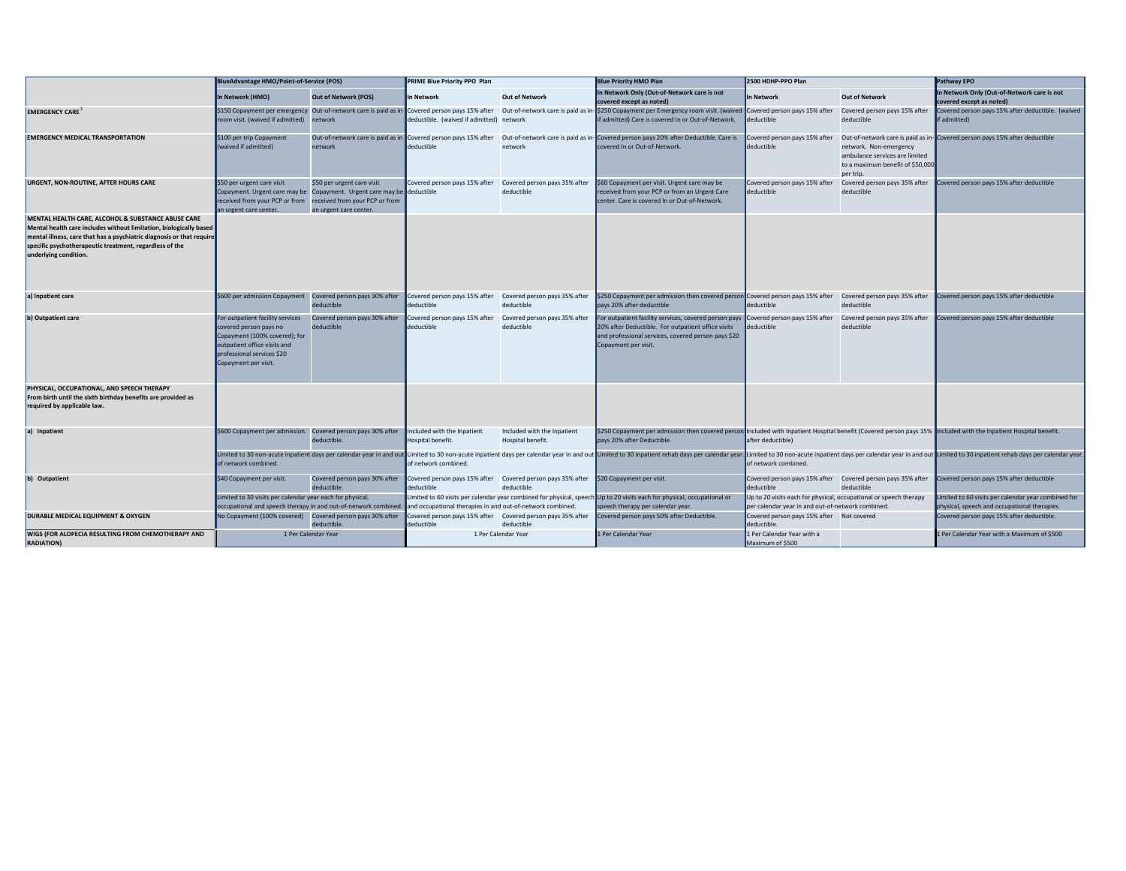|                                                                                                                                                                                                                                                                                       | <b>BlueAdvantage HMO/Point-of-Service (POS)</b>                                                                                                                                   |                                                                                                                                    | PRIME Blue Priority PPO Plan                                              |                                                  | <b>Blue Priority HMO Plan</b>                                                                                                                                                                                                                                          | 2500 HDHP-PPO Plan                                                                                                     |                                                                                                           | Pathway EPO                                                                                        |
|---------------------------------------------------------------------------------------------------------------------------------------------------------------------------------------------------------------------------------------------------------------------------------------|-----------------------------------------------------------------------------------------------------------------------------------------------------------------------------------|------------------------------------------------------------------------------------------------------------------------------------|---------------------------------------------------------------------------|--------------------------------------------------|------------------------------------------------------------------------------------------------------------------------------------------------------------------------------------------------------------------------------------------------------------------------|------------------------------------------------------------------------------------------------------------------------|-----------------------------------------------------------------------------------------------------------|----------------------------------------------------------------------------------------------------|
|                                                                                                                                                                                                                                                                                       | In Network (HMO)                                                                                                                                                                  | <b>Out of Network (POS)</b>                                                                                                        | In Network                                                                | <b>Out of Network</b>                            | In Network Only (Out-of-Network care is not<br>covered except as noted)                                                                                                                                                                                                | In Network                                                                                                             | <b>Out of Network</b>                                                                                     | In Network Only (Out-of-Network care is not<br>covered except as noted)                            |
| <b>EMERGENCY CARE</b>                                                                                                                                                                                                                                                                 | room visit. (waived if admitted)                                                                                                                                                  | network                                                                                                                            | deductible. (waived if admitted) network                                  |                                                  | \$150 Copayment per emergency Out-of-network care is paid as in Covered person pays 15% after Out-of-network care is paid as in- \$250 Copayment per Emergency room visit. (waived Covered person pays 15% after<br>if admitted) Care is covered In or Out-of-Network. | deductible                                                                                                             | Covered person pays 15% after<br>deductible                                                               | Covered person pays 15% after deductible. (waived<br>f admitted)                                   |
| <b>EMERGENCY MEDICAL TRANSPORTATION</b>                                                                                                                                                                                                                                               | \$100 per trip Copayment<br>(waived if admitted)                                                                                                                                  | Out-of-network care is paid as in Covered person pays 15% after<br>network                                                         | deductible                                                                | network                                          | Out-of-network care is paid as in-Covered person pays 20% after Deductible. Care is<br>covered In or Out-of-Network.                                                                                                                                                   | Covered person pays 15% after<br>deductible                                                                            | network. Non-emergency<br>ambulance services are limited<br>to a maximum benefit of \$50,000<br>per trip. | Out-of-network care is paid as in-Covered person pays 15% after deductible                         |
| <b>URGENT, NON-ROUTINE, AFTER HOURS CARE</b>                                                                                                                                                                                                                                          | \$50 per urgent care visit<br>Copayment. Urgent care may be<br>received from your PCP or from<br>an urgent care center.                                                           | \$50 per urgent care visit<br>Copayment. Urgent care may be deductible<br>received from your PCP or from<br>an urgent care center. | Covered person pays 15% after                                             | Covered person pays 35% after<br>deductible      | \$60 Copayment per visit. Urgent care may be<br>received from your PCP or from an Urgent Care<br>center. Care is covered In or Out-of-Network.                                                                                                                         | Covered person pays 15% after<br>deductible                                                                            | Covered person pays 35% after<br>deductible                                                               | Covered person pays 15% after deductible                                                           |
| MENTAL HEALTH CARE, ALCOHOL & SUBSTANCE ABUSE CARE<br>Mental health care includes without limitation, biologically based<br>mental illness, care that has a psychiatric diagnosis or that require<br>specific psychotherapeutic treatment, regardless of the<br>underlying condition. |                                                                                                                                                                                   |                                                                                                                                    |                                                                           |                                                  |                                                                                                                                                                                                                                                                        |                                                                                                                        |                                                                                                           |                                                                                                    |
| a) Inpatient care                                                                                                                                                                                                                                                                     | \$600 per admission Copayment                                                                                                                                                     | Covered person pays 30% after<br>deductible                                                                                        | Covered person pays 15% after<br>deductible                               | Covered person pays 35% after<br>deductible      | \$250 Copayment per admission then covered person Covered person pays 15% after<br>pays 20% after deductible                                                                                                                                                           | deductible                                                                                                             | Covered person pays 35% after<br>deductible                                                               | Covered person pays 15% after deductible                                                           |
| b) Outpatient care                                                                                                                                                                                                                                                                    | For outpatient facility services<br>covered person pays no<br>Copayment (100% covered); for<br>outpatient office visits and<br>professional services \$20<br>Copayment per visit. | Covered person pays 30% after<br>deductible                                                                                        | Covered person pays 15% after<br>deductible                               | Covered person pays 35% after<br>deductible      | For outpatient facility services, covered person pays<br>20% after Deductible. For outpatient office visits<br>and professional services, covered person pays \$20<br>Copayment per visit.                                                                             | Covered person pays 15% after<br>deductible                                                                            | Covered person pays 35% after<br>deductible                                                               | Covered person pays 15% after deductible                                                           |
| PHYSICAL, OCCUPATIONAL, AND SPEECH THERAPY<br>From birth until the sixth birthday benefits are provided as<br>required by applicable law.                                                                                                                                             |                                                                                                                                                                                   |                                                                                                                                    |                                                                           |                                                  |                                                                                                                                                                                                                                                                        |                                                                                                                        |                                                                                                           |                                                                                                    |
| a) Inpatient                                                                                                                                                                                                                                                                          | \$600 Copayment per admission.                                                                                                                                                    | Covered person pays 30% after<br>deductible.                                                                                       | Included with the Inpatient<br>Hospital benefit.                          | Included with the Inpatient<br>Hospital benefit. | \$250 Copayment per admission then covered person Included with Inpatient Hospital benefit (Covered person pays 15%  Included with the Inpatient Hospital benefit.<br>pays 20% after Deductible.                                                                       | after deductible)                                                                                                      |                                                                                                           |                                                                                                    |
|                                                                                                                                                                                                                                                                                       | of network combined.                                                                                                                                                              |                                                                                                                                    | of network combined.                                                      |                                                  | Limited to 30 non-acute inpatient days per calendar year in and out Limited to 30 non-acute inpatient days per calendar year in and out Limited to 30 inpatient rehab days per calendar year in and out pumited to 30 inpatien                                         | of network combined.                                                                                                   |                                                                                                           |                                                                                                    |
| b) Outpatient                                                                                                                                                                                                                                                                         | \$40 Copayment per visit.                                                                                                                                                         | Covered person pays 30% after<br>deductible.                                                                                       | Covered person pays 15% after Covered person pays 35% after<br>deductible | deductible                                       | \$20 Copayment per visit.                                                                                                                                                                                                                                              | Covered person pays 15% after<br>deductible                                                                            | Covered person pays 35% after<br>deductible                                                               | Covered person pays 15% after deductible                                                           |
|                                                                                                                                                                                                                                                                                       | Limited to 30 visits per calendar year each for physical,                                                                                                                         | occupational and speech therapy in and out-of-network combined.                                                                    | and occupational therapies in and out-of-network combined.                |                                                  | Limited to 60 visits per calendar year combined for physical, speech Up to 20 visits each for physical, occupational or<br>speech therapy per calendar year.                                                                                                           | Up to 20 visits each for physical, occupational or speech therapy<br>per calendar year in and out-of-network combined. |                                                                                                           | Limited to 60 visits per calendar year combined for<br>physical, speech and occupational therapies |
| DURABLE MEDICAL EQUIPMENT & OXYGEN                                                                                                                                                                                                                                                    | No Copayment (100% covered)                                                                                                                                                       | Covered person pays 30% after<br>deductible.                                                                                       | Covered person pays 15% after Covered person pays 35% after<br>deductible | deductible                                       | Covered person pays 50% after Deductible.                                                                                                                                                                                                                              | Covered person pays 15% after Not covered<br>deductible.                                                               |                                                                                                           | Covered person pays 15% after deductible.                                                          |
| WIGS (FOR ALOPECIA RESULTING FROM CHEMOTHERAPY AND<br><b>RADIATION</b> )                                                                                                                                                                                                              |                                                                                                                                                                                   | 1 Per Calendar Year                                                                                                                |                                                                           | 1 Per Calendar Year                              | 1 Per Calendar Year                                                                                                                                                                                                                                                    | 1 Per Calendar Year with a<br>Maximum of \$500                                                                         |                                                                                                           | 1 Per Calendar Year with a Maximum of \$500                                                        |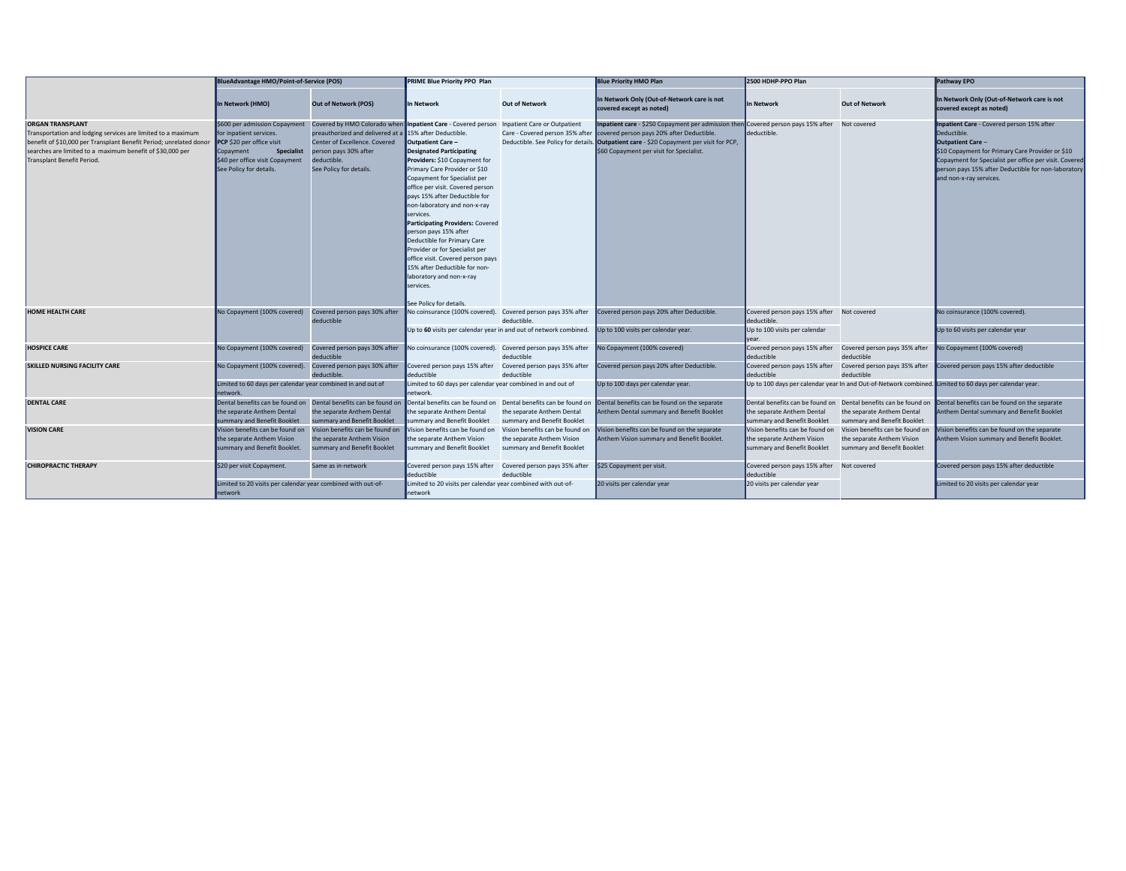|                                                                                                                                                                                                                                                          | BlueAdvantage HMO/Point-of-Service (POS)                                                                                                                                              |                                                                                                                                                                                                                            | PRIME Blue Priority PPO Plan                                                                                                                                                                                                                                                                                                                                                                                                                                                                                                                    |                                                                                              | <b>Blue Priority HMO Plan</b>                                                                                                                                                                                                                                         | 2500 HDHP-PPO Plan                                                                           |                                                                                              | Pathway EPO                                                                                                                                                                                                                                                                   |
|----------------------------------------------------------------------------------------------------------------------------------------------------------------------------------------------------------------------------------------------------------|---------------------------------------------------------------------------------------------------------------------------------------------------------------------------------------|----------------------------------------------------------------------------------------------------------------------------------------------------------------------------------------------------------------------------|-------------------------------------------------------------------------------------------------------------------------------------------------------------------------------------------------------------------------------------------------------------------------------------------------------------------------------------------------------------------------------------------------------------------------------------------------------------------------------------------------------------------------------------------------|----------------------------------------------------------------------------------------------|-----------------------------------------------------------------------------------------------------------------------------------------------------------------------------------------------------------------------------------------------------------------------|----------------------------------------------------------------------------------------------|----------------------------------------------------------------------------------------------|-------------------------------------------------------------------------------------------------------------------------------------------------------------------------------------------------------------------------------------------------------------------------------|
|                                                                                                                                                                                                                                                          | In Network (HMO)                                                                                                                                                                      | <b>Out of Network (POS)</b>                                                                                                                                                                                                | In Network                                                                                                                                                                                                                                                                                                                                                                                                                                                                                                                                      | <b>Out of Network</b>                                                                        | In Network Only (Out-of-Network care is not<br>covered except as noted)                                                                                                                                                                                               | In Network                                                                                   | <b>Out of Network</b>                                                                        | In Network Only (Out-of-Network care is not<br>covered except as noted)                                                                                                                                                                                                       |
| <b>ORGAN TRANSPLANT</b><br>Transportation and lodging services are limited to a maximum<br>benefit of \$10,000 per Transplant Benefit Period; unrelated donor<br>searches are limited to a maximum benefit of \$30,000 per<br>Transplant Benefit Period. | \$600 per admission Copayment<br>for inpatient services.<br>PCP \$20 per office visit<br><b>Specialist</b><br>Copayment<br>\$40 per office visit Copayment<br>See Policy for details. | Covered by HMO Colorado when Inpatient Care - Covered person<br>preauthorized and delivered at a 15% after Deductible.<br>Center of Excellence. Covered<br>person pays 30% after<br>deductible.<br>See Policy for details. | Outpatient Care-<br><b>Designated Participating</b><br>Providers: \$10 Copayment for<br>Primary Care Provider or \$10<br>Copayment for Specialist per<br>office per visit. Covered person<br>pays 15% after Deductible for<br>non-laboratory and non-x-ray<br>services.<br>Participating Providers: Covered<br>person pays 15% after<br>Deductible for Primary Care<br>Provider or for Specialist per<br>office visit. Covered person pays<br>15% after Deductible for non-<br>laboratory and non-x-ray<br>services.<br>See Policy for details. | Inpatient Care or Outpatient<br>Care - Covered person 35% after                              | Inpatient care - \$250 Copayment per admission then Covered person pays 15% after<br>covered person pays 20% after Deductible.<br>Deductible. See Policy for details. Outpatient care - \$20 Copayment per visit for PCP,<br>\$60 Copayment per visit for Specialist. | deductible.                                                                                  | Not covered                                                                                  | Inpatient Care - Covered person 15% after<br>Deductible.<br>Outpatient Care -<br>\$10 Copayment for Primary Care Provider or \$10<br>Copayment for Specialist per office per visit. Covered<br>person pays 15% after Deductible for non-laboratory<br>and non-x-ray services. |
| <b>HOME HEALTH CARE</b>                                                                                                                                                                                                                                  | No Copayment (100% covered)                                                                                                                                                           | Covered person pays 30% after<br>deductible                                                                                                                                                                                | No coinsurance (100% covered). Covered person pays 35% after                                                                                                                                                                                                                                                                                                                                                                                                                                                                                    | deductible.<br>Up to 60 visits per calendar year in and out of network combined.             | Covered person pays 20% after Deductible.<br>Up to 100 visits per calendar year.                                                                                                                                                                                      | Covered person pays 15% after<br>deductible.<br>Up to 100 visits per calendar                | Not covered                                                                                  | No coinsurance (100% covered).<br>Up to 60 visits per calendar year                                                                                                                                                                                                           |
|                                                                                                                                                                                                                                                          |                                                                                                                                                                                       |                                                                                                                                                                                                                            |                                                                                                                                                                                                                                                                                                                                                                                                                                                                                                                                                 |                                                                                              |                                                                                                                                                                                                                                                                       | lvear.                                                                                       |                                                                                              |                                                                                                                                                                                                                                                                               |
| <b>HOSPICE CARE</b>                                                                                                                                                                                                                                      | No Copayment (100% covered) Covered person pays 30% after                                                                                                                             | deductible                                                                                                                                                                                                                 | No coinsurance (100% covered). Covered person pays 35% after                                                                                                                                                                                                                                                                                                                                                                                                                                                                                    | deductible                                                                                   | No Copayment (100% covered)                                                                                                                                                                                                                                           | Covered person pays 15% after<br>deductible                                                  | Covered person pays 35% after<br>deductible                                                  | No Copayment (100% covered)                                                                                                                                                                                                                                                   |
| <b>SKILLED NURSING FACILITY CARE</b>                                                                                                                                                                                                                     | No Copayment (100% covered).                                                                                                                                                          | Covered person pays 30% after<br>deductible                                                                                                                                                                                | Covered person pays 15% after<br>deductible                                                                                                                                                                                                                                                                                                                                                                                                                                                                                                     | Covered person pays 35% after<br>deductible                                                  | Covered person pays 20% after Deductible.                                                                                                                                                                                                                             | Covered person pays 15% after<br>deductible                                                  | Covered person pays 35% after<br>deductible                                                  | Covered person pays 15% after deductible                                                                                                                                                                                                                                      |
|                                                                                                                                                                                                                                                          | Limited to 60 days per calendar year combined in and out of<br>network.                                                                                                               |                                                                                                                                                                                                                            | Limited to 60 days per calendar year combined in and out of<br>network.                                                                                                                                                                                                                                                                                                                                                                                                                                                                         |                                                                                              | Up to 100 days per calendar year.                                                                                                                                                                                                                                     |                                                                                              |                                                                                              | Up to 100 days per calendar year In and Out-of-Network combined. Limited to 60 days per calendar year.                                                                                                                                                                        |
| <b>DENTAL CARE</b>                                                                                                                                                                                                                                       | Dental benefits can be found on<br>the separate Anthem Dental<br>summary and Benefit Booklet                                                                                          | Dental benefits can be found on<br>the separate Anthem Dental<br>summary and Benefit Booklet                                                                                                                               | Dental benefits can be found on<br>the separate Anthem Dental<br>summary and Benefit Booklet                                                                                                                                                                                                                                                                                                                                                                                                                                                    | Dental benefits can be found on<br>the separate Anthem Dental<br>summary and Benefit Booklet | Dental benefits can be found on the separate<br>Anthem Dental summary and Benefit Booklet                                                                                                                                                                             | Dental benefits can be found on<br>the separate Anthem Dental<br>summary and Benefit Booklet | Dental benefits can be found on<br>the separate Anthem Dental<br>summary and Benefit Booklet | Dental benefits can be found on the separate<br>Anthem Dental summary and Benefit Booklet                                                                                                                                                                                     |
| <b>VISION CARE</b>                                                                                                                                                                                                                                       | Vision benefits can be found on<br>the separate Anthem Vision<br>summary and Benefit Booklet.                                                                                         | Vision benefits can be found on<br>the separate Anthem Vision<br>summary and Benefit Booklet                                                                                                                               | Vision benefits can be found on<br>the separate Anthem Vision<br>summary and Benefit Booklet                                                                                                                                                                                                                                                                                                                                                                                                                                                    | Vision benefits can be found on<br>the separate Anthem Vision<br>summary and Benefit Booklet | Vision benefits can be found on the separate<br>Anthem Vision summary and Benefit Booklet.                                                                                                                                                                            | Vision benefits can be found on<br>the separate Anthem Vision<br>summary and Benefit Booklet | Vision benefits can be found on<br>the separate Anthem Vision<br>summary and Benefit Booklet | Vision benefits can be found on the separate<br>Anthem Vision summary and Benefit Booklet.                                                                                                                                                                                    |
| <b>CHIROPRACTIC THERAPY</b>                                                                                                                                                                                                                              | \$20 per visit Copayment.                                                                                                                                                             | Same as in-network                                                                                                                                                                                                         | Covered person pays 15% after<br>deductible                                                                                                                                                                                                                                                                                                                                                                                                                                                                                                     | Covered person pays 35% after<br>deductible                                                  | \$25 Copayment per visit.                                                                                                                                                                                                                                             | Covered person pays 15% after<br>deductible                                                  | Not covered                                                                                  | Covered person pays 15% after deductible                                                                                                                                                                                                                                      |
|                                                                                                                                                                                                                                                          | Limited to 20 visits per calendar year combined with out-of-<br>network                                                                                                               |                                                                                                                                                                                                                            | Limited to 20 visits per calendar year combined with out-of-<br>network                                                                                                                                                                                                                                                                                                                                                                                                                                                                         |                                                                                              | 20 visits per calendar year                                                                                                                                                                                                                                           | 20 visits per calendar year                                                                  |                                                                                              | imited to 20 visits per calendar year.                                                                                                                                                                                                                                        |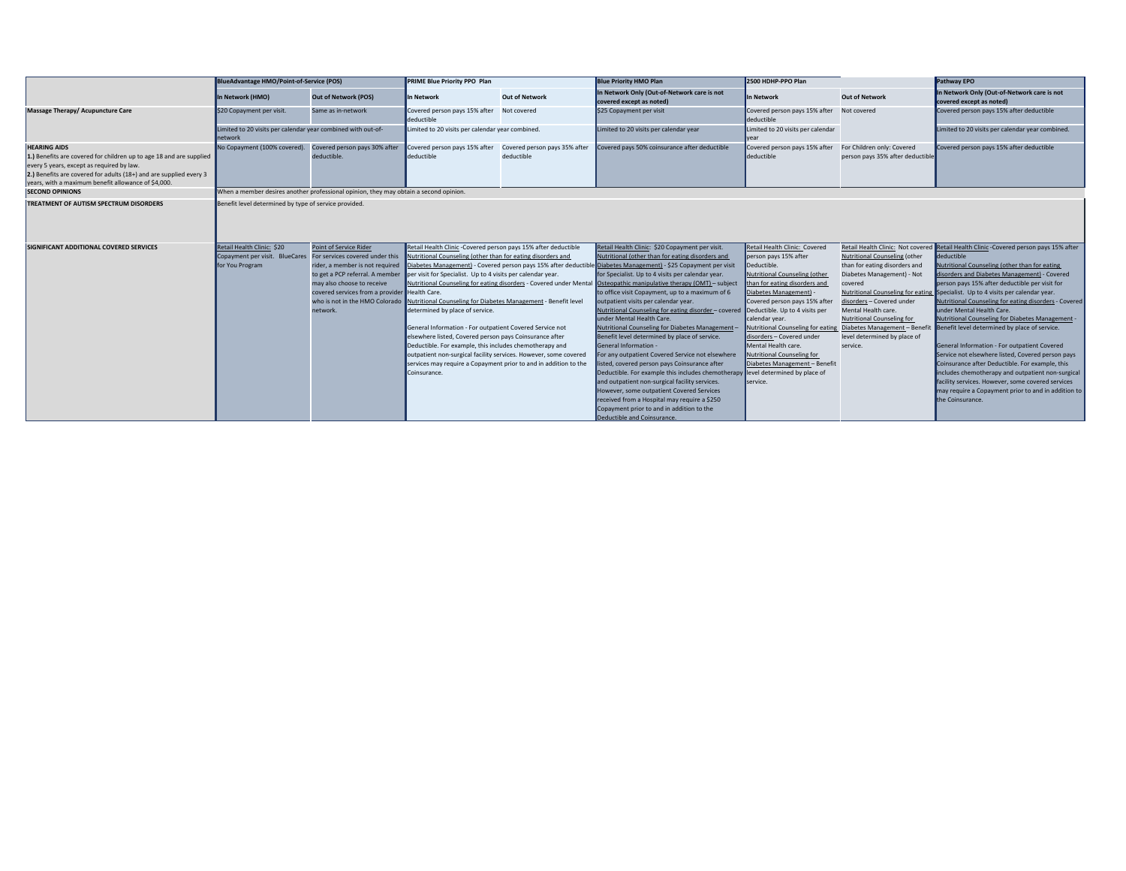|                                                                                                                                                                                                                                                                      | <b>BlueAdvantage HMO/Point-of-Service (POS)</b>                                       |                                               | <b>PRIME Blue Priority PPO Plan</b>                                                                                         |                                             | <b>Blue Priority HMO Plan</b>                                                                                       | 2500 HDHP-PPO Plan                               |                                                                | Pathway EPO                                                                            |
|----------------------------------------------------------------------------------------------------------------------------------------------------------------------------------------------------------------------------------------------------------------------|---------------------------------------------------------------------------------------|-----------------------------------------------|-----------------------------------------------------------------------------------------------------------------------------|---------------------------------------------|---------------------------------------------------------------------------------------------------------------------|--------------------------------------------------|----------------------------------------------------------------|----------------------------------------------------------------------------------------|
|                                                                                                                                                                                                                                                                      | In Network (HMO)                                                                      | <b>Out of Network (POS)</b>                   | In Network                                                                                                                  | <b>Out of Network</b>                       | In Network Only (Out-of-Network care is not<br>covered except as noted)                                             | In Network                                       | <b>Out of Network</b>                                          | In Network Only (Out-of-Network care is not<br>covered except as noted)                |
| Massage Therapy/ Acupuncture Care                                                                                                                                                                                                                                    | \$20 Copayment per visit.                                                             | Same as in-network                            | Covered person pays 15% after<br>deductible                                                                                 | Not covered                                 | \$25 Copayment per visit                                                                                            | Covered person pays 15% after<br>deductible      | Not covered                                                    | Covered person pays 15% after deductible                                               |
|                                                                                                                                                                                                                                                                      | Limited to 20 visits per calendar year combined with out-of-<br>network               |                                               | Limited to 20 visits per calendar year combined.                                                                            |                                             | Limited to 20 visits per calendar year                                                                              | Limited to 20 visits per calendar                |                                                                | Limited to 20 visits per calendar year combined.                                       |
| <b>HEARING AIDS</b><br>1.) Benefits are covered for children up to age 18 and are supplied<br>every 5 years, except as required by law.<br>2.) Benefits are covered for adults (18+) and are supplied every 3<br>vears, with a maximum benefit allowance of \$4,000. | No Copayment (100% covered).                                                          | Covered person pays 30% after<br>deductible.  | Covered person pays 15% after<br>deductible                                                                                 | Covered person pays 35% after<br>deductible | Covered pays 50% coinsurance after deductible                                                                       | Covered person pays 15% after<br>deductible      | For Children only: Covered<br>person pays 35% after deductible | Covered person pays 15% after deductible                                               |
| <b>SECOND OPINIONS</b>                                                                                                                                                                                                                                               | When a member desires another professional opinion, they may obtain a second opinion. |                                               |                                                                                                                             |                                             |                                                                                                                     |                                                  |                                                                |                                                                                        |
| TREATMENT OF AUTISM SPECTRUM DISORDERS                                                                                                                                                                                                                               | Benefit level determined by type of service provided.                                 |                                               |                                                                                                                             |                                             |                                                                                                                     |                                                  |                                                                |                                                                                        |
| SIGNIFICANT ADDITIONAL COVERED SERVICES                                                                                                                                                                                                                              | Retail Health Clinic: \$20                                                            | Point of Service Rider                        | Retail Health Clinic -Covered person pays 15% after deductible                                                              |                                             | Retail Health Clinic: \$20 Copayment per visit.                                                                     | Retail Health Clinic: Covered                    |                                                                | Retail Health Clinic: Not covered Retail Health Clinic - Covered person pays 15% after |
|                                                                                                                                                                                                                                                                      | Copayment per visit. BlueCares For services covered under this                        |                                               | Nutritional Counseling (other than for eating disorders and                                                                 |                                             | Nutritional (other than for eating disorders and                                                                    | person pays 15% after                            | Nutritional Counseling (other                                  | deductible                                                                             |
|                                                                                                                                                                                                                                                                      | for You Program                                                                       | rider, a member is not required               |                                                                                                                             |                                             | Diabetes Management) - Covered person pays 15% after deductible Diabetes Management) - \$25 Copayment per visit     | Deductible.                                      | than for eating disorders and                                  | Nutritional Counseling (other than for eating                                          |
|                                                                                                                                                                                                                                                                      |                                                                                       | to get a PCP referral. A member               | per visit for Specialist. Up to 4 visits per calendar year.                                                                 |                                             | for Specialist. Up to 4 visits per calendar year.                                                                   | Nutritional Counseling (other                    | Diabetes Management) - Not                                     | disorders and Diabetes Management) - Covered                                           |
|                                                                                                                                                                                                                                                                      |                                                                                       | may also choose to receive                    |                                                                                                                             |                                             | Nutritional Counseling for eating disorders - Covered under Mental Osteopathic manipulative therapy (OMT) - subject | than for eating disorders and                    | covered                                                        | person pays 15% after deductible per visit for                                         |
|                                                                                                                                                                                                                                                                      |                                                                                       | covered services from a provider Health Care. |                                                                                                                             |                                             | to office visit Copayment, up to a maximum of 6                                                                     | Diabetes Management) -                           |                                                                | Nutritional Counseling for eating Specialist. Up to 4 visits per calendar year.        |
|                                                                                                                                                                                                                                                                      |                                                                                       | who is not in the HMO Colorado                | Nutritional Counseling for Diabetes Management - Benefit level                                                              |                                             | outpatient visits per calendar year.                                                                                | Covered person pays 15% after                    | disorders - Covered under                                      | Nutritional Counseling for eating disorders - Covered                                  |
|                                                                                                                                                                                                                                                                      |                                                                                       | network.                                      | determined by place of service.                                                                                             |                                             | Nutritional Counseling for eating disorder – covered Deductible. Up to 4 visits per                                 |                                                  | Mental Health care.                                            | under Mental Health Care.                                                              |
|                                                                                                                                                                                                                                                                      |                                                                                       |                                               |                                                                                                                             |                                             | under Mental Health Care.                                                                                           | calendar year.                                   | Nutritional Counseling for                                     | Nutritional Counseling for Diabetes Management -                                       |
|                                                                                                                                                                                                                                                                      |                                                                                       |                                               | General Information - For outpatient Covered Service not                                                                    |                                             | Nutritional Counseling for Diabetes Management-                                                                     | Nutritional Counseling for eating                |                                                                | Diabetes Management - Benefit Benefit level determined by place of service.            |
|                                                                                                                                                                                                                                                                      |                                                                                       |                                               | elsewhere listed, Covered person pays Coinsurance after                                                                     |                                             | Benefit level determined by place of service.<br>General Information -                                              | disorders - Covered under<br>Mental Health care. | level determined by place of                                   | General Information - For outpatient Covered                                           |
|                                                                                                                                                                                                                                                                      |                                                                                       |                                               | Deductible. For example, this includes chemotherapy and<br>outpatient non-surgical facility services. However, some covered |                                             | For any outpatient Covered Service not elsewhere                                                                    | Nutritional Counseling for                       | service.                                                       | Service not elsewhere listed, Covered person pays                                      |
|                                                                                                                                                                                                                                                                      |                                                                                       |                                               | services may require a Copayment prior to and in addition to the                                                            |                                             | listed, covered person pays Coinsurance after                                                                       | Diabetes Management - Benefit                    |                                                                | Coinsurance after Deductible. For example, this                                        |
|                                                                                                                                                                                                                                                                      |                                                                                       |                                               | Coinsurance.                                                                                                                |                                             | Deductible. For example this includes chemotherapy level determined by place of                                     |                                                  |                                                                | includes chemotherapy and outpatient non-surgical                                      |
|                                                                                                                                                                                                                                                                      |                                                                                       |                                               |                                                                                                                             |                                             | and outpatient non-surgical facility services.                                                                      | service.                                         |                                                                | facility services. However, some covered services                                      |
|                                                                                                                                                                                                                                                                      |                                                                                       |                                               |                                                                                                                             |                                             | However, some outpatient Covered Services                                                                           |                                                  |                                                                | may require a Copayment prior to and in addition to                                    |
|                                                                                                                                                                                                                                                                      |                                                                                       |                                               |                                                                                                                             |                                             | received from a Hospital may require a \$250                                                                        |                                                  |                                                                | the Coinsurance.                                                                       |
|                                                                                                                                                                                                                                                                      |                                                                                       |                                               |                                                                                                                             |                                             | Copayment prior to and in addition to the                                                                           |                                                  |                                                                |                                                                                        |
|                                                                                                                                                                                                                                                                      |                                                                                       |                                               |                                                                                                                             |                                             | Deductible and Coinsurance.                                                                                         |                                                  |                                                                |                                                                                        |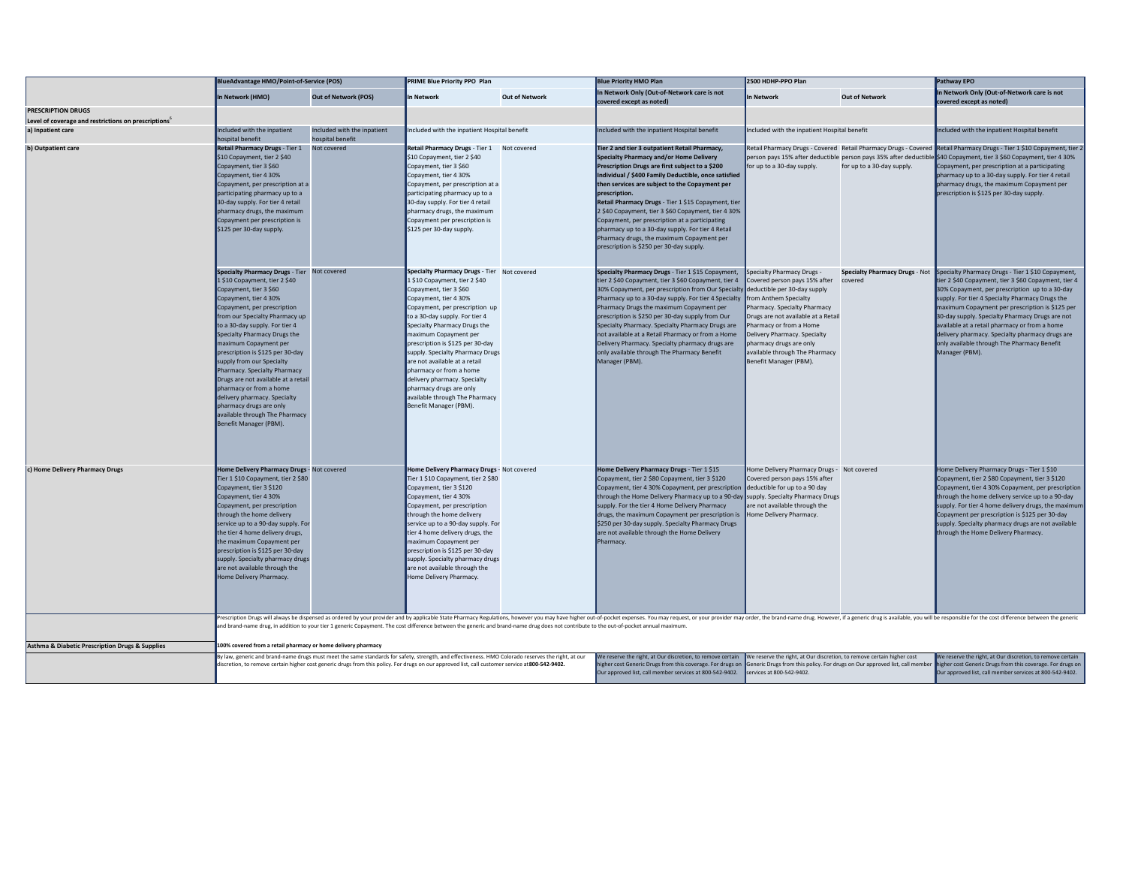|                                                                  | <b>BlueAdvantage HMO/Point-of-Service (POS)</b>                                                                                                                                                                                                                                                                                                                                                                                                                                                                                                                                       |                                                 | <b>PRIME Blue Priority PPO Plan</b>                                                                                                                                                                                                                                                                                                                                                                                                                                                                                     |                       | <b>Blue Priority HMO Plan</b>                                                                                                                                                                                                                                                                                                                                                                                                                                                                                                                                                                           | 2500 HDHP-PPO Plan                                                                                                                                                                                                                                                                   |                            | Pathway EPO                                                                                                                                                                                                                                                                                                                                                                                                                                                                                                              |
|------------------------------------------------------------------|---------------------------------------------------------------------------------------------------------------------------------------------------------------------------------------------------------------------------------------------------------------------------------------------------------------------------------------------------------------------------------------------------------------------------------------------------------------------------------------------------------------------------------------------------------------------------------------|-------------------------------------------------|-------------------------------------------------------------------------------------------------------------------------------------------------------------------------------------------------------------------------------------------------------------------------------------------------------------------------------------------------------------------------------------------------------------------------------------------------------------------------------------------------------------------------|-----------------------|---------------------------------------------------------------------------------------------------------------------------------------------------------------------------------------------------------------------------------------------------------------------------------------------------------------------------------------------------------------------------------------------------------------------------------------------------------------------------------------------------------------------------------------------------------------------------------------------------------|--------------------------------------------------------------------------------------------------------------------------------------------------------------------------------------------------------------------------------------------------------------------------------------|----------------------------|--------------------------------------------------------------------------------------------------------------------------------------------------------------------------------------------------------------------------------------------------------------------------------------------------------------------------------------------------------------------------------------------------------------------------------------------------------------------------------------------------------------------------|
|                                                                  | In Network (HMO)                                                                                                                                                                                                                                                                                                                                                                                                                                                                                                                                                                      | <b>Out of Network (POS)</b>                     | In Network                                                                                                                                                                                                                                                                                                                                                                                                                                                                                                              | <b>Out of Network</b> | In Network Only (Out-of-Network care is not<br>covered except as noted)                                                                                                                                                                                                                                                                                                                                                                                                                                                                                                                                 | <b>In Network</b>                                                                                                                                                                                                                                                                    | <b>Out of Network</b>      | In Network Only (Out-of-Network care is not<br>covered except as noted)                                                                                                                                                                                                                                                                                                                                                                                                                                                  |
| <b>PRESCRIPTION DRUGS</b>                                        |                                                                                                                                                                                                                                                                                                                                                                                                                                                                                                                                                                                       |                                                 |                                                                                                                                                                                                                                                                                                                                                                                                                                                                                                                         |                       |                                                                                                                                                                                                                                                                                                                                                                                                                                                                                                                                                                                                         |                                                                                                                                                                                                                                                                                      |                            |                                                                                                                                                                                                                                                                                                                                                                                                                                                                                                                          |
| Level of coverage and restrictions on prescriptions <sup>6</sup> |                                                                                                                                                                                                                                                                                                                                                                                                                                                                                                                                                                                       |                                                 |                                                                                                                                                                                                                                                                                                                                                                                                                                                                                                                         |                       |                                                                                                                                                                                                                                                                                                                                                                                                                                                                                                                                                                                                         |                                                                                                                                                                                                                                                                                      |                            |                                                                                                                                                                                                                                                                                                                                                                                                                                                                                                                          |
| a) Inpatient care                                                | Included with the inpatient<br>hospital benefit                                                                                                                                                                                                                                                                                                                                                                                                                                                                                                                                       | Included with the inpatient<br>hospital benefit | Included with the inpatient Hospital benefit                                                                                                                                                                                                                                                                                                                                                                                                                                                                            |                       | Included with the inpatient Hospital benefit                                                                                                                                                                                                                                                                                                                                                                                                                                                                                                                                                            | Included with the inpatient Hospital benefit                                                                                                                                                                                                                                         |                            | Included with the inpatient Hospital benefit                                                                                                                                                                                                                                                                                                                                                                                                                                                                             |
|                                                                  | Retail Pharmacy Drugs - Tier 1<br>\$10 Copayment, tier 2 \$40<br>Copayment, tier 3 \$60<br>Copayment, tier 4 30%<br>Copayment, per prescription at a<br>participating pharmacy up to a<br>30-day supply. For tier 4 retail<br>pharmacy drugs, the maximum<br>Copayment per prescription is<br>\$125 per 30-day supply.                                                                                                                                                                                                                                                                | Not covered                                     | Retail Pharmacy Drugs - Tier 1 Not covered<br>\$10 Copayment, tier 2 \$40<br>Copayment, tier 3 \$60<br>Copayment, tier 4 30%<br>Copayment, per prescription at a<br>participating pharmacy up to a<br>30-day supply. For tier 4 retail<br>pharmacy drugs, the maximum<br>Copayment per prescription is<br>\$125 per 30-day supply.                                                                                                                                                                                      |                       | Tier 2 and tier 3 outpatient Retail Pharmacy,<br>Specialty Pharmacy and/or Home Delivery<br>Prescription Drugs are first subject to a \$200<br>Individual / \$400 Family Deductible, once satisfied<br>then services are subject to the Copayment per<br>prescription.<br>Retail Pharmacy Drugs - Tier 1 \$15 Copayment, tier<br>2 \$40 Copayment, tier 3 \$60 Copayment, tier 4 30%<br>Copayment, per prescription at a participating<br>pharmacy up to a 30-day supply. For tier 4 Retail<br>Pharmacy drugs, the maximum Copayment per<br>prescription is \$250 per 30-day supply.                    | for up to a 30-day supply.                                                                                                                                                                                                                                                           | for up to a 30-day supply. | Retail Pharmacy Drugs - Covered Retail Pharmacy Drugs - Covered Retail Pharmacy Drugs - Tier 1 \$10 Copayment, tier 2<br>person pays 15% after deductible person pays 35% after deductible \$40 Copayment, tier 3 \$60 Copayment, tier 4 30%<br>Copayment, per prescription at a participating<br>pharmacy up to a 30-day supply. For tier 4 retail<br>pharmacy drugs, the maximum Copayment per<br>prescription is \$125 per 30-day supply                                                                              |
|                                                                  | Specialty Pharmacy Drugs - Tier Not covered<br>1 \$10 Copayment, tier 2 \$40<br>Copayment, tier 3 \$60<br>Copayment, tier 4 30%<br>Copayment, per prescription<br>from our Specialty Pharmacy up<br>to a 30-day supply. For tier 4<br>Specialty Pharmacy Drugs the<br>maximum Copayment per<br>prescription is \$125 per 30-day<br>supply from our Specialty<br>Pharmacy. Specialty Pharmacy<br>Drugs are not available at a retail<br>pharmacy or from a home<br>delivery pharmacy. Specialty<br>pharmacy drugs are only<br>available through The Pharmacy<br>Benefit Manager (PBM). |                                                 | Specialty Pharmacy Drugs - Tier Not covered<br>1 \$10 Copayment, tier 2 \$40<br>Copayment, tier 3 \$60<br>Copayment, tier 4 30%<br>Copayment, per prescription up<br>to a 30-day supply. For tier 4<br>Specialty Pharmacy Drugs the<br>maximum Copayment per<br>prescription is \$125 per 30-day<br>supply. Specialty Pharmacy Drugs<br>are not available at a retail<br>pharmacy or from a home<br>delivery pharmacy. Specialty<br>pharmacy drugs are only<br>available through The Pharmacy<br>Benefit Manager (PBM). |                       | Specialty Pharmacy Drugs - Tier 1 \$15 Copayment,<br>tier 2 \$40 Copayment, tier 3 \$60 Copayment, tier 4<br>30% Copayment, per prescription from Our Specialty deductible per 30-day supply<br>Pharmacy up to a 30-day supply. For tier 4 Specialty from Anthem Specialty<br>Pharmacy Drugs the maximum Copayment per<br>prescription is \$250 per 30-day supply from Our<br>Specialty Pharmacy. Specialty Pharmacy Drugs are<br>not available at a Retail Pharmacy or from a Home<br>Delivery Pharmacy. Specialty pharmacy drugs are<br>only available through The Pharmacy Benefit<br>Manager (PBM). | Specialty Pharmacy Drugs -<br>Covered person pays 15% after<br>Pharmacy. Specialty Pharmacy<br>Drugs are not available at a Retail<br>Pharmacy or from a Home<br>Delivery Pharmacy. Specialty<br>pharmacy drugs are only<br>available through The Pharmacy<br>Benefit Manager (PBM). | covered                    | Specialty Pharmacy Drugs - Not Specialty Pharmacy Drugs - Tier 1 \$10 Copayment,<br>tier 2 \$40 Copayment, tier 3 \$60 Copayment, tier 4<br>30% Copayment, per prescription up to a 30-day<br>supply. For tier 4 Specialty Pharmacy Drugs the<br>maximum Copayment per prescription is \$125 per<br>30-day supply. Specialty Pharmacy Drugs are not<br>available at a retail pharmacy or from a home<br>delivery pharmacy. Specialty pharmacy drugs are<br>only available through The Pharmacy Benefit<br>Manager (PBM). |
| c) Home Delivery Pharmacy Drugs                                  | Home Delivery Pharmacy Drugs - Not covered<br>Tier 1 \$10 Copayment, tier 2 \$80<br>Copayment, tier 3 \$120<br>Copayment, tier 4 30%<br>Copayment, per prescription<br>through the home delivery<br>service up to a 90-day supply. For<br>the tier 4 home delivery drugs,<br>the maximum Copayment per<br>prescription is \$125 per 30-day<br>supply. Specialty pharmacy drugs<br>are not available through the<br>Home Delivery Pharmacy.                                                                                                                                            |                                                 | Home Delivery Pharmacy Drugs - Not covered<br>Tier 1 \$10 Copayment, tier 2 \$80<br>Copayment, tier 3 \$120<br>Copayment, tier 4 30%<br>Copayment, per prescription<br>through the home delivery<br>service up to a 90-day supply. For<br>tier 4 home delivery drugs, the<br>maximum Copayment per<br>prescription is \$125 per 30-day<br>supply. Specialty pharmacy drugs<br>are not available through the<br>Home Delivery Pharmacy.                                                                                  |                       | Home Delivery Pharmacy Drugs - Tier 1 \$15<br>Copayment, tier 2 \$80 Copayment, tier 3 \$120<br>Copayment, tier 4 30% Copayment, per prescription<br>through the Home Delivery Pharmacy up to a 90-day supply. Specialty Pharmacy Drugs<br>supply. For the tier 4 Home Delivery Pharmacy<br>drugs, the maximum Copayment per prescription is<br>\$250 per 30-day supply. Specialty Pharmacy Drugs<br>are not available through the Home Delivery<br>Pharmacy                                                                                                                                            | Home Delivery Pharmacy Drugs - Not covered<br>Covered person pays 15% after<br>deductible for up to a 90 day<br>are not available through the<br>Home Delivery Pharmacy.                                                                                                             |                            | Home Delivery Pharmacy Drugs - Tier 1 \$10<br>Copayment, tier 2 \$80 Copayment, tier 3 \$120<br>Copayment, tier 4 30% Copayment, per prescription<br>through the home delivery service up to a 90-day<br>supply. For tier 4 home delivery drugs, the maximun<br>Copayment per prescription is \$125 per 30-day<br>supply. Specialty pharmacy drugs are not available<br>through the Home Delivery Pharmacy.                                                                                                              |
|                                                                  |                                                                                                                                                                                                                                                                                                                                                                                                                                                                                                                                                                                       |                                                 | and brand-name drug, in addition to your tier 1 generic Copayment. The cost difference between the generic and brand-name drug does not contribute to the out-of-pocket annual maximum.                                                                                                                                                                                                                                                                                                                                 |                       | Prescription Drugs will always be dispensed as ordered by your provider and by applicable State Pharmacy Regulations, however you may have higher out-of-pocket expenses. You may request, or your provider may order, the bra                                                                                                                                                                                                                                                                                                                                                                          |                                                                                                                                                                                                                                                                                      |                            |                                                                                                                                                                                                                                                                                                                                                                                                                                                                                                                          |
| <b>Asthma &amp; Diabetic Prescription Drugs &amp; Supplies</b>   | 100% covered from a retail pharmacy or home delivery pharmacy                                                                                                                                                                                                                                                                                                                                                                                                                                                                                                                         |                                                 |                                                                                                                                                                                                                                                                                                                                                                                                                                                                                                                         |                       |                                                                                                                                                                                                                                                                                                                                                                                                                                                                                                                                                                                                         |                                                                                                                                                                                                                                                                                      |                            |                                                                                                                                                                                                                                                                                                                                                                                                                                                                                                                          |
|                                                                  |                                                                                                                                                                                                                                                                                                                                                                                                                                                                                                                                                                                       |                                                 | By law, generic and brand-name drugs must meet the same standards for safety, strength, and effectiveness. HMO Colorado reserves the right, at our<br>discretion, to remove certain higher cost generic drugs from this policy. For drugs on our approved list, call customer service at 800-542-9402.                                                                                                                                                                                                                  |                       | We reserve the right, at Our discretion, to remove certain We reserve the right, at Our discretion, to remove certain higher cost<br>igher cost Generic Drugs from this coverage. For drugs on Generic Drugs from this policy. For drugs on Our approved list, call member<br>Our approved list, call member services at 800-542-9402.                                                                                                                                                                                                                                                                  | services at 800-542-9402.                                                                                                                                                                                                                                                            |                            | We reserve the right, at Our discretion, to remove certain<br>higher cost Generic Drugs from this coverage. For drugs on<br>Our approved list, call member services at 800-542-9402.                                                                                                                                                                                                                                                                                                                                     |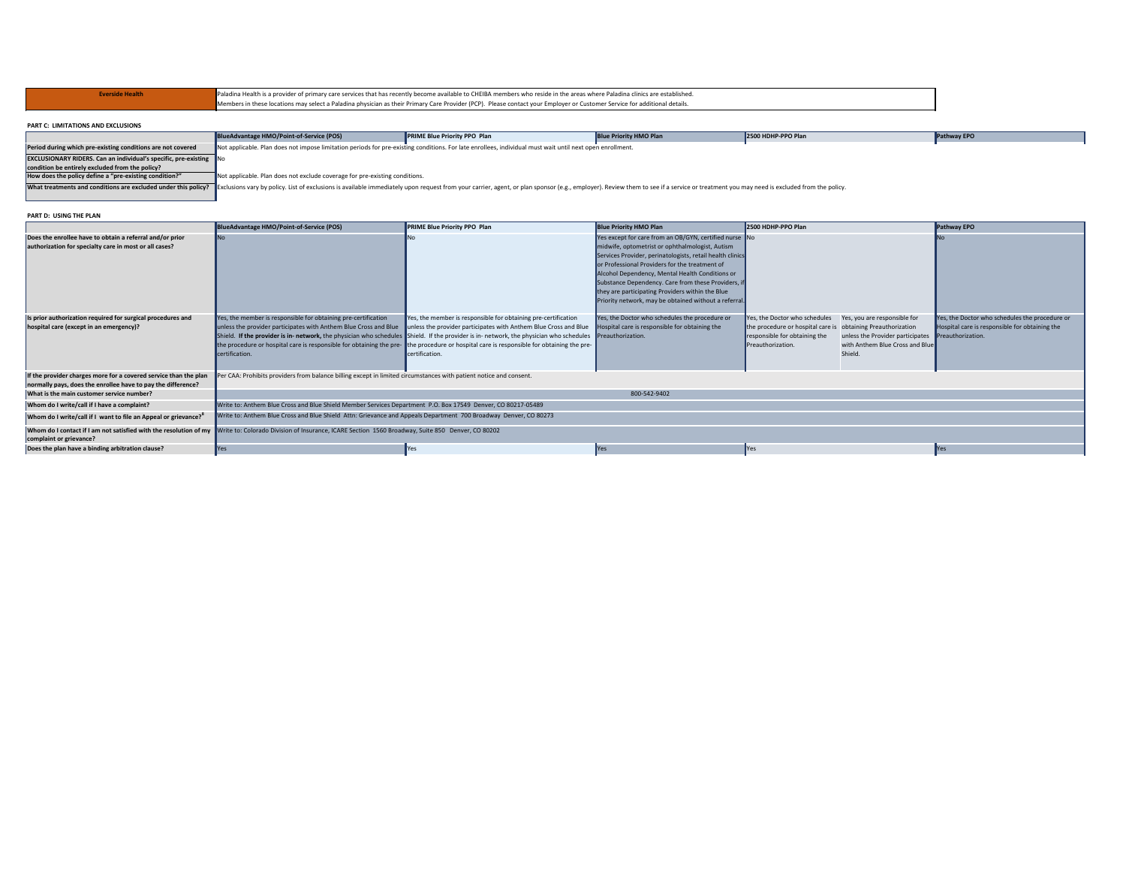| Everside Health                    |                                          | Paladina Health is a provider of primary care services that has recently become available to CHEIBA members who reside in the areas where Paladina clinics are established. |                               |                    |  |  |  |  |
|------------------------------------|------------------------------------------|-----------------------------------------------------------------------------------------------------------------------------------------------------------------------------|-------------------------------|--------------------|--|--|--|--|
|                                    |                                          | Members in these locations may select a Paladina physician as their Primary Care Provider (PCP). Please contact your Employer or Customer Service for additional details.   |                               |                    |  |  |  |  |
|                                    |                                          |                                                                                                                                                                             |                               |                    |  |  |  |  |
| PART C: LIMITATIONS AND EXCLUSIONS |                                          |                                                                                                                                                                             |                               |                    |  |  |  |  |
|                                    | BlueAdvantage HMO/Point-of-Service (POS) | <b>PRIME Blue Priority PPO Plan</b>                                                                                                                                         | <b>Blue Priority HMO Plan</b> | 2500 HDHP-PPO Plan |  |  |  |  |

|                                                                                                                                                                                                                               | BlueAdvantage HMO/Point-of-Service (POS)                                                                                                                  | <b>PRIME Blue Priority PPO Plan</b> | <b>Blue Priority HMO Plan</b> | 2500 HDHP-PPO Plan | Pathway EPO |  |  |  |  |
|-------------------------------------------------------------------------------------------------------------------------------------------------------------------------------------------------------------------------------|-----------------------------------------------------------------------------------------------------------------------------------------------------------|-------------------------------------|-------------------------------|--------------------|-------------|--|--|--|--|
| Period during which pre-existing conditions are not covered                                                                                                                                                                   | Not applicable. Plan does not impose limitation periods for pre-existing conditions. For late enrollees, individual must wait until next open enrollment. |                                     |                               |                    |             |  |  |  |  |
| <b>EXCLUSIONARY RIDERS. Can an individual's specific, pre-existing No</b>                                                                                                                                                     |                                                                                                                                                           |                                     |                               |                    |             |  |  |  |  |
| condition be entirely excluded from the policy?                                                                                                                                                                               |                                                                                                                                                           |                                     |                               |                    |             |  |  |  |  |
| How does the policy define a "pre-existing condition?"                                                                                                                                                                        | Not applicable. Plan does not exclude coverage for pre-existing conditions.                                                                               |                                     |                               |                    |             |  |  |  |  |
| What treatments and conditions are excluded under this policy? Exclusions vary by policy. List of exclusions is available immediately upon request from your carrier, agent, or plan sponsor (e.g., employer). Review them to |                                                                                                                                                           |                                     |                               |                    |             |  |  |  |  |
|                                                                                                                                                                                                                               |                                                                                                                                                           |                                     |                               |                    |             |  |  |  |  |

## **PART D: USING THE PLAN**

|                                                                                                                    | BlueAdvantage HMO/Point-of-Service (POS)                                                                                                                                                                              | <b>PRIME Blue Priority PPO Plan</b>                                                                                                                                                                                                                                                                                                                                                       | <b>Blue Priority HMO Plan</b>                                                                                                                                                                                                                                                                                                                                                                                                                   | 2500 HDHP-PPO Plan                                                                                                       |                                                                                                                                              | <b>Pathway EPO</b>                                                                                                    |  |
|--------------------------------------------------------------------------------------------------------------------|-----------------------------------------------------------------------------------------------------------------------------------------------------------------------------------------------------------------------|-------------------------------------------------------------------------------------------------------------------------------------------------------------------------------------------------------------------------------------------------------------------------------------------------------------------------------------------------------------------------------------------|-------------------------------------------------------------------------------------------------------------------------------------------------------------------------------------------------------------------------------------------------------------------------------------------------------------------------------------------------------------------------------------------------------------------------------------------------|--------------------------------------------------------------------------------------------------------------------------|----------------------------------------------------------------------------------------------------------------------------------------------|-----------------------------------------------------------------------------------------------------------------------|--|
| Does the enrollee have to obtain a referral and/or prior<br>authorization for specialty care in most or all cases? | No                                                                                                                                                                                                                    | INo.                                                                                                                                                                                                                                                                                                                                                                                      | Yes except for care from an OB/GYN, certified nurse No<br>midwife, optometrist or ophthalmologist, Autism<br>Services Provider, perinatologists, retail health clinics<br>or Professional Providers for the treatment of<br>Alcohol Dependency, Mental Health Conditions or<br>Substance Dependency. Care from these Providers, if<br>they are participating Providers within the Blue<br>Priority network, may be obtained without a referral. |                                                                                                                          |                                                                                                                                              |                                                                                                                       |  |
| Is prior authorization required for surgical procedures and<br>hospital care (except in an emergency)?             | Yes, the member is responsible for obtaining pre-certification<br>unless the provider participates with Anthem Blue Cross and Blue unless the provider participates with Anthem Blue Cross and Blue<br>certification. | Yes, the member is responsible for obtaining pre-certification<br>Shield. If the provider is in- network, the physician who schedules Shield. If the provider is in- network, the physician who schedules Preauthorization.<br>the procedure or hospital care is responsible for obtaining the pre-the procedure or hospital care is responsible for obtaining the pre-<br>certification. | Yes, the Doctor who schedules the procedure or<br>Hospital care is responsible for obtaining the                                                                                                                                                                                                                                                                                                                                                | Yes, the Doctor who schedules<br>the procedure or hospital care is<br>responsible for obtaining the<br>Preauthorization. | Yes, you are responsible for<br>obtaining Preauthorization<br>unless the Provider participates<br>with Anthem Blue Cross and Blue<br>Shield. | Yes, the Doctor who schedules the procedure or<br>Hospital care is responsible for obtaining the<br>Preauthorization. |  |
| If the provider charges more for a covered service than the plan                                                   | Per CAA: Prohibits providers from balance billing except in limited circumstances with patient notice and consent.                                                                                                    |                                                                                                                                                                                                                                                                                                                                                                                           |                                                                                                                                                                                                                                                                                                                                                                                                                                                 |                                                                                                                          |                                                                                                                                              |                                                                                                                       |  |
| normally pays, does the enrollee have to pay the difference?                                                       |                                                                                                                                                                                                                       |                                                                                                                                                                                                                                                                                                                                                                                           |                                                                                                                                                                                                                                                                                                                                                                                                                                                 |                                                                                                                          |                                                                                                                                              |                                                                                                                       |  |
| What is the main customer service number?                                                                          |                                                                                                                                                                                                                       |                                                                                                                                                                                                                                                                                                                                                                                           | 800-542-9402                                                                                                                                                                                                                                                                                                                                                                                                                                    |                                                                                                                          |                                                                                                                                              |                                                                                                                       |  |
| Whom do I write/call if I have a complaint?                                                                        | Write to: Anthem Blue Cross and Blue Shield Member Services Department P.O. Box 17549 Denver, CO 80217-05489                                                                                                          |                                                                                                                                                                                                                                                                                                                                                                                           |                                                                                                                                                                                                                                                                                                                                                                                                                                                 |                                                                                                                          |                                                                                                                                              |                                                                                                                       |  |
| Whom do I write/call if I want to file an Appeal or grievance? <sup>8</sup>                                        | Write to: Anthem Blue Cross and Blue Shield Attn: Grievance and Appeals Department 700 Broadway Denver, CO 80273                                                                                                      |                                                                                                                                                                                                                                                                                                                                                                                           |                                                                                                                                                                                                                                                                                                                                                                                                                                                 |                                                                                                                          |                                                                                                                                              |                                                                                                                       |  |
| complaint or grievance?                                                                                            | Whom do I contact if I am not satisfied with the resolution of my Write to: Colorado Division of Insurance, ICARE Section 1560 Broadway, Suite 850 Denver, CO 80202                                                   |                                                                                                                                                                                                                                                                                                                                                                                           |                                                                                                                                                                                                                                                                                                                                                                                                                                                 |                                                                                                                          |                                                                                                                                              |                                                                                                                       |  |
| Does the plan have a binding arbitration clause?                                                                   | <b>Yes</b>                                                                                                                                                                                                            | <b>Yes</b>                                                                                                                                                                                                                                                                                                                                                                                | <b>Yes</b>                                                                                                                                                                                                                                                                                                                                                                                                                                      | <b>Yes</b>                                                                                                               |                                                                                                                                              | <b>Yes</b>                                                                                                            |  |